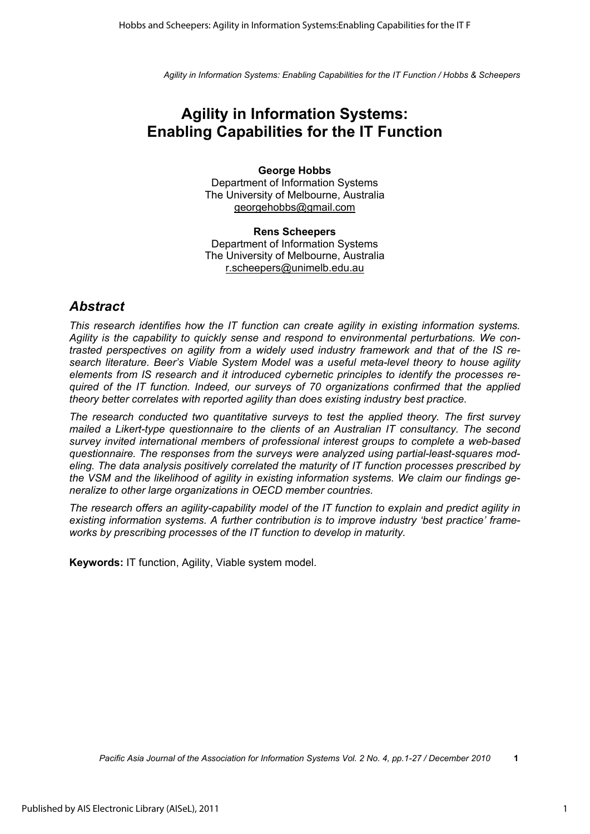# **Agility in Information Systems: Enabling Capabilities for the IT Function**

**George Hobbs**  Department of Information Systems The University of Melbourne, Australia georgehobbs@gmail.com

**Rens Scheepers**  Department of Information Systems The University of Melbourne, Australia r.scheepers@unimelb.edu.au

### *Abstract*

*This research identifies how the IT function can create agility in existing information systems. Agility is the capability to quickly sense and respond to environmental perturbations. We contrasted perspectives on agility from a widely used industry framework and that of the IS research literature. Beer's Viable System Model was a useful meta-level theory to house agility elements from IS research and it introduced cybernetic principles to identify the processes required of the IT function. Indeed, our surveys of 70 organizations confirmed that the applied theory better correlates with reported agility than does existing industry best practice.* 

*The research conducted two quantitative surveys to test the applied theory. The first survey mailed a Likert-type questionnaire to the clients of an Australian IT consultancy. The second survey invited international members of professional interest groups to complete a web-based questionnaire. The responses from the surveys were analyzed using partial-least-squares modeling. The data analysis positively correlated the maturity of IT function processes prescribed by the VSM and the likelihood of agility in existing information systems. We claim our findings generalize to other large organizations in OECD member countries.* 

*The research offers an agility-capability model of the IT function to explain and predict agility in existing information systems. A further contribution is to improve industry 'best practice' frameworks by prescribing processes of the IT function to develop in maturity.* 

**Keywords:** IT function, Agility, Viable system model.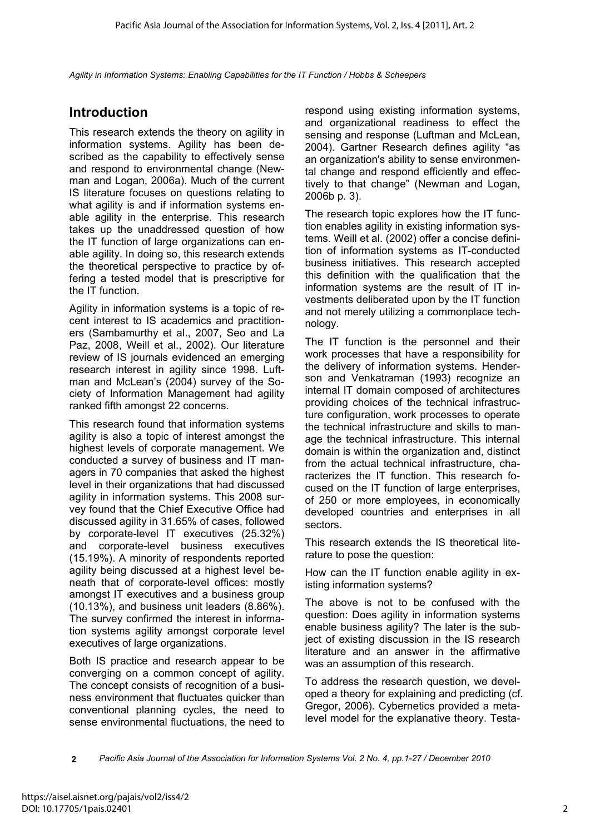# **Introduction**

This research extends the theory on agility in information systems. Agility has been described as the capability to effectively sense and respond to environmental change (Newman and Logan, 2006a). Much of the current IS literature focuses on questions relating to what agility is and if information systems enable agility in the enterprise. This research takes up the unaddressed question of how the IT function of large organizations can enable agility. In doing so, this research extends the theoretical perspective to practice by offering a tested model that is prescriptive for the IT function.

Agility in information systems is a topic of recent interest to IS academics and practitioners (Sambamurthy et al., 2007, Seo and La Paz, 2008, Weill et al., 2002). Our literature review of IS journals evidenced an emerging research interest in agility since 1998. Luftman and McLean's (2004) survey of the Society of Information Management had agility ranked fifth amongst 22 concerns.

This research found that information systems agility is also a topic of interest amongst the highest levels of corporate management. We conducted a survey of business and IT managers in 70 companies that asked the highest level in their organizations that had discussed agility in information systems. This 2008 survey found that the Chief Executive Office had discussed agility in 31.65% of cases, followed by corporate-level IT executives (25.32%) and corporate-level business executives (15.19%). A minority of respondents reported agility being discussed at a highest level beneath that of corporate-level offices: mostly amongst IT executives and a business group (10.13%), and business unit leaders (8.86%). The survey confirmed the interest in information systems agility amongst corporate level executives of large organizations.

Both IS practice and research appear to be converging on a common concept of agility. The concept consists of recognition of a business environment that fluctuates quicker than conventional planning cycles, the need to sense environmental fluctuations, the need to

respond using existing information systems, and organizational readiness to effect the sensing and response (Luftman and McLean, 2004). Gartner Research defines agility "as an organization's ability to sense environmental change and respond efficiently and effectively to that change" (Newman and Logan, 2006b p. 3).

The research topic explores how the IT function enables agility in existing information systems. Weill et al. (2002) offer a concise definition of information systems as IT-conducted business initiatives. This research accepted this definition with the qualification that the information systems are the result of IT investments deliberated upon by the IT function and not merely utilizing a commonplace technology.

The IT function is the personnel and their work processes that have a responsibility for the delivery of information systems. Henderson and Venkatraman (1993) recognize an internal IT domain composed of architectures providing choices of the technical infrastructure configuration, work processes to operate the technical infrastructure and skills to manage the technical infrastructure. This internal domain is within the organization and, distinct from the actual technical infrastructure, characterizes the IT function. This research focused on the IT function of large enterprises, of 250 or more employees, in economically developed countries and enterprises in all sectors.

This research extends the IS theoretical literature to pose the question:

How can the IT function enable agility in existing information systems?

The above is not to be confused with the question: Does agility in information systems enable business agility? The later is the subject of existing discussion in the IS research literature and an answer in the affirmative was an assumption of this research.

To address the research question, we developed a theory for explaining and predicting (cf. Gregor, 2006). Cybernetics provided a metalevel model for the explanative theory. Testa-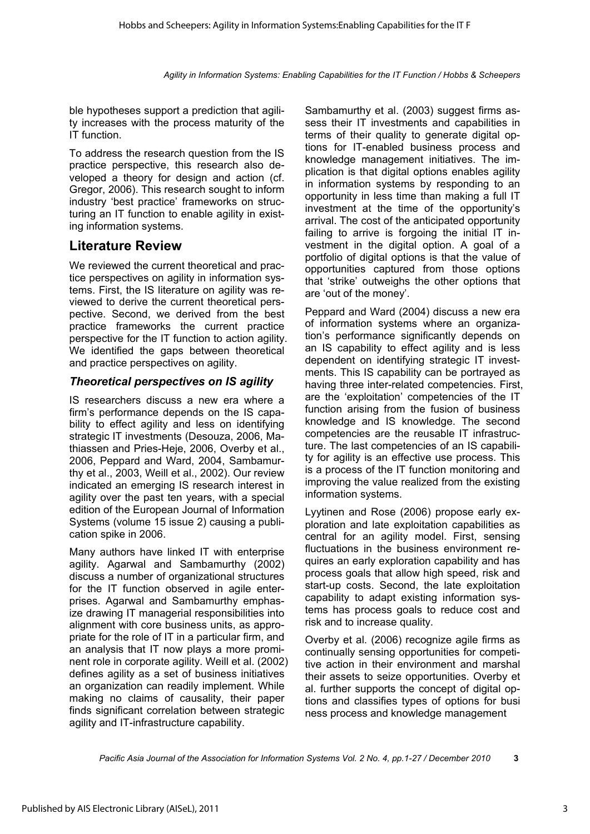ble hypotheses support a prediction that agility increases with the process maturity of the IT function.

To address the research question from the IS practice perspective, this research also developed a theory for design and action (cf. Gregor, 2006). This research sought to inform industry 'best practice' frameworks on structuring an IT function to enable agility in existing information systems.

### **Literature Review**

We reviewed the current theoretical and practice perspectives on agility in information systems. First, the IS literature on agility was reviewed to derive the current theoretical perspective. Second, we derived from the best practice frameworks the current practice perspective for the IT function to action agility. We identified the gaps between theoretical and practice perspectives on agility.

#### *Theoretical perspectives on IS agility*

IS researchers discuss a new era where a firm's performance depends on the IS capability to effect agility and less on identifying strategic IT investments (Desouza, 2006, Mathiassen and Pries-Heje, 2006, Overby et al., 2006, Peppard and Ward, 2004, Sambamurthy et al., 2003, Weill et al., 2002). Our review indicated an emerging IS research interest in agility over the past ten years, with a special edition of the European Journal of Information Systems (volume 15 issue 2) causing a publication spike in 2006.

Many authors have linked IT with enterprise agility. Agarwal and Sambamurthy (2002) discuss a number of organizational structures for the IT function observed in agile enterprises. Agarwal and Sambamurthy emphasize drawing IT managerial responsibilities into alignment with core business units, as appropriate for the role of IT in a particular firm, and an analysis that IT now plays a more prominent role in corporate agility. Weill et al. (2002) defines agility as a set of business initiatives an organization can readily implement. While making no claims of causality, their paper finds significant correlation between strategic agility and IT-infrastructure capability.

Sambamurthy et al. (2003) suggest firms assess their IT investments and capabilities in terms of their quality to generate digital options for IT-enabled business process and knowledge management initiatives. The implication is that digital options enables agility in information systems by responding to an opportunity in less time than making a full IT investment at the time of the opportunity's arrival. The cost of the anticipated opportunity failing to arrive is forgoing the initial IT investment in the digital option. A goal of a portfolio of digital options is that the value of opportunities captured from those options that 'strike' outweighs the other options that are 'out of the money'.

Peppard and Ward (2004) discuss a new era of information systems where an organization's performance significantly depends on an IS capability to effect agility and is less dependent on identifying strategic IT investments. This IS capability can be portrayed as having three inter-related competencies. First, are the 'exploitation' competencies of the IT function arising from the fusion of business knowledge and IS knowledge. The second competencies are the reusable IT infrastructure. The last competencies of an IS capability for agility is an effective use process. This is a process of the IT function monitoring and improving the value realized from the existing information systems.

Lyytinen and Rose (2006) propose early exploration and late exploitation capabilities as central for an agility model. First, sensing fluctuations in the business environment requires an early exploration capability and has process goals that allow high speed, risk and start-up costs. Second, the late exploitation capability to adapt existing information systems has process goals to reduce cost and risk and to increase quality.

Overby et al. (2006) recognize agile firms as continually sensing opportunities for competitive action in their environment and marshal their assets to seize opportunities. Overby et al. further supports the concept of digital options and classifies types of options for busi ness process and knowledge management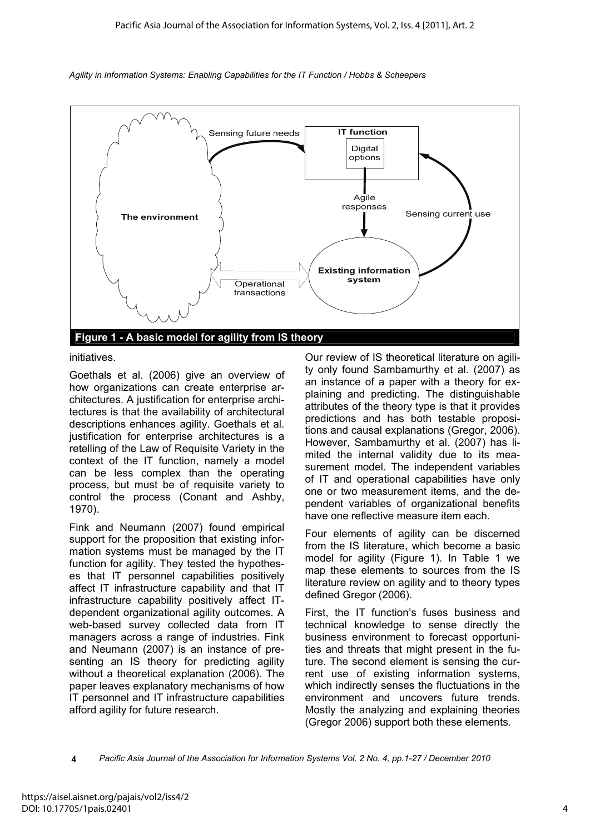

initiatives.

Goethals et al. (2006) give an overview of how organizations can create enterprise architectures. A justification for enterprise architectures is that the availability of architectural descriptions enhances agility. Goethals et al. justification for enterprise architectures is a retelling of the Law of Requisite Variety in the context of the IT function, namely a model can be less complex than the operating process, but must be of requisite variety to control the process (Conant and Ashby, 1970).

Fink and Neumann (2007) found empirical support for the proposition that existing information systems must be managed by the IT function for agility. They tested the hypotheses that IT personnel capabilities positively affect IT infrastructure capability and that IT infrastructure capability positively affect ITdependent organizational agility outcomes. A web-based survey collected data from IT managers across a range of industries. Fink and Neumann (2007) is an instance of presenting an IS theory for predicting agility without a theoretical explanation (2006). The paper leaves explanatory mechanisms of how IT personnel and IT infrastructure capabilities afford agility for future research.

Our review of IS theoretical literature on agility only found Sambamurthy et al. (2007) as an instance of a paper with a theory for explaining and predicting. The distinguishable attributes of the theory type is that it provides predictions and has both testable propositions and causal explanations (Gregor, 2006). However, Sambamurthy et al. (2007) has limited the internal validity due to its measurement model. The independent variables of IT and operational capabilities have only one or two measurement items, and the dependent variables of organizational benefits have one reflective measure item each.

Four elements of agility can be discerned from the IS literature, which become a basic model for agility (Figure 1). In Table 1 we map these elements to sources from the IS literature review on agility and to theory types defined Gregor (2006).

First, the IT function's fuses business and technical knowledge to sense directly the business environment to forecast opportunities and threats that might present in the future. The second element is sensing the current use of existing information systems, which indirectly senses the fluctuations in the environment and uncovers future trends. Mostly the analyzing and explaining theories (Gregor 2006) support both these elements.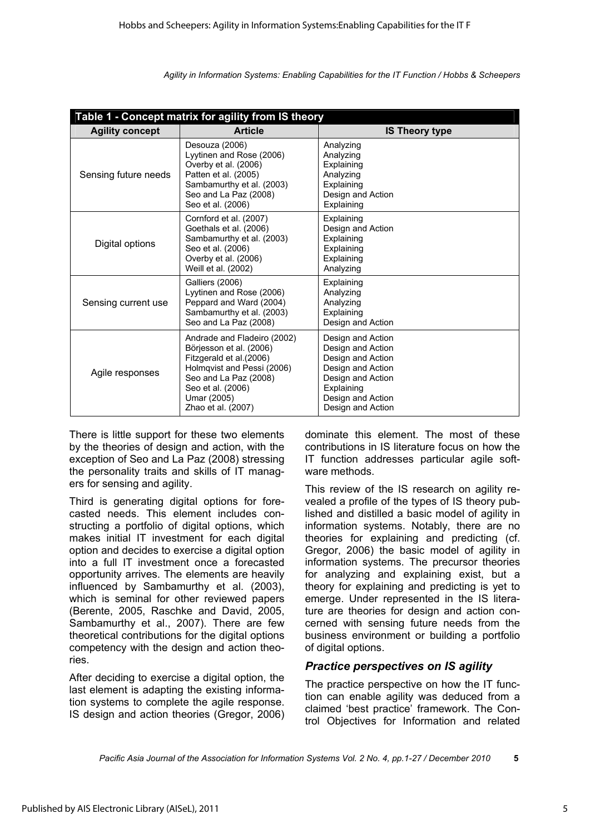| Table 1 - Concept matrix for agility from IS theory |                                                                                                                                                                                                    |                                                                                                                                                               |  |  |  |
|-----------------------------------------------------|----------------------------------------------------------------------------------------------------------------------------------------------------------------------------------------------------|---------------------------------------------------------------------------------------------------------------------------------------------------------------|--|--|--|
| <b>Agility concept</b>                              | <b>Article</b>                                                                                                                                                                                     | <b>IS Theory type</b>                                                                                                                                         |  |  |  |
| Sensing future needs                                | Desouza (2006)<br>Lyytinen and Rose (2006)<br>Overby et al. (2006)<br>Patten et al. (2005)<br>Sambamurthy et al. (2003)<br>Seo and La Paz (2008)<br>Seo et al. (2006)                              | Analyzing<br>Analyzing<br>Explaining<br>Analyzing<br>Explaining<br>Design and Action<br>Explaining                                                            |  |  |  |
| Digital options                                     | Cornford et al. (2007)<br>Goethals et al. (2006)<br>Sambamurthy et al. (2003)<br>Seo et al. (2006)<br>Overby et al. (2006)<br>Weill et al. (2002)                                                  | Explaining<br>Design and Action<br>Explaining<br>Explaining<br>Explaining<br>Analyzing                                                                        |  |  |  |
| Sensing current use                                 | <b>Galliers (2006)</b><br>Lyytinen and Rose (2006)<br>Peppard and Ward (2004)<br>Sambamurthy et al. (2003)<br>Seo and La Paz (2008)                                                                | Explaining<br>Analyzing<br>Analyzing<br>Explaining<br>Design and Action                                                                                       |  |  |  |
| Agile responses                                     | Andrade and Fladeiro (2002)<br>Börjesson et al. (2006)<br>Fitzgerald et al.(2006)<br>Holmqvist and Pessi (2006)<br>Seo and La Paz (2008)<br>Seo et al. (2006)<br>Umar (2005)<br>Zhao et al. (2007) | Design and Action<br>Design and Action<br>Design and Action<br>Design and Action<br>Design and Action<br>Explaining<br>Design and Action<br>Design and Action |  |  |  |

There is little support for these two elements by the theories of design and action, with the exception of Seo and La Paz (2008) stressing the personality traits and skills of IT managers for sensing and agility.

Third is generating digital options for forecasted needs. This element includes constructing a portfolio of digital options, which makes initial IT investment for each digital option and decides to exercise a digital option into a full IT investment once a forecasted opportunity arrives. The elements are heavily influenced by Sambamurthy et al. (2003), which is seminal for other reviewed papers (Berente, 2005, Raschke and David, 2005, Sambamurthy et al., 2007). There are few theoretical contributions for the digital options competency with the design and action theories.

After deciding to exercise a digital option, the last element is adapting the existing information systems to complete the agile response. IS design and action theories (Gregor, 2006) dominate this element. The most of these contributions in IS literature focus on how the IT function addresses particular agile software methods.

This review of the IS research on agility revealed a profile of the types of IS theory published and distilled a basic model of agility in information systems. Notably, there are no theories for explaining and predicting (cf. Gregor, 2006) the basic model of agility in information systems. The precursor theories for analyzing and explaining exist, but a theory for explaining and predicting is yet to emerge. Under represented in the IS literature are theories for design and action concerned with sensing future needs from the business environment or building a portfolio of digital options.

#### *Practice perspectives on IS agility*

The practice perspective on how the IT function can enable agility was deduced from a claimed 'best practice' framework. The Control Objectives for Information and related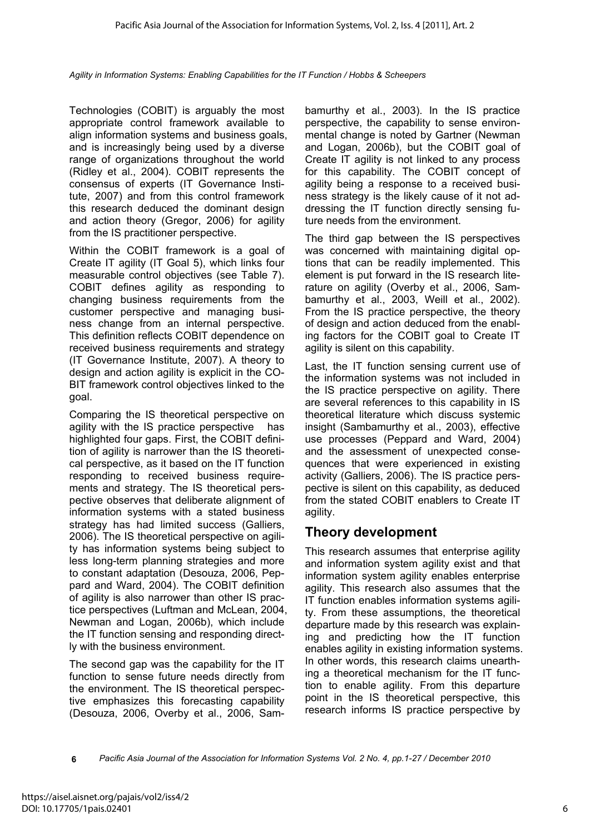Technologies (COBIT) is arguably the most appropriate control framework available to align information systems and business goals, and is increasingly being used by a diverse range of organizations throughout the world (Ridley et al., 2004). COBIT represents the consensus of experts (IT Governance Institute, 2007) and from this control framework this research deduced the dominant design and action theory (Gregor, 2006) for agility from the IS practitioner perspective.

Within the COBIT framework is a goal of Create IT agility (IT Goal 5), which links four measurable control objectives (see Table 7). COBIT defines agility as responding to changing business requirements from the customer perspective and managing business change from an internal perspective. This definition reflects COBIT dependence on received business requirements and strategy (IT Governance Institute, 2007). A theory to design and action agility is explicit in the CO-BIT framework control objectives linked to the goal.

Comparing the IS theoretical perspective on agility with the IS practice perspective has highlighted four gaps. First, the COBIT definition of agility is narrower than the IS theoretical perspective, as it based on the IT function responding to received business requirements and strategy. The IS theoretical perspective observes that deliberate alignment of information systems with a stated business strategy has had limited success (Galliers, 2006). The IS theoretical perspective on agility has information systems being subject to less long-term planning strategies and more to constant adaptation (Desouza, 2006, Peppard and Ward, 2004). The COBIT definition of agility is also narrower than other IS practice perspectives (Luftman and McLean, 2004, Newman and Logan, 2006b), which include the IT function sensing and responding directly with the business environment.

The second gap was the capability for the IT function to sense future needs directly from the environment. The IS theoretical perspective emphasizes this forecasting capability (Desouza, 2006, Overby et al., 2006, Sambamurthy et al., 2003). In the IS practice perspective, the capability to sense environmental change is noted by Gartner (Newman and Logan, 2006b), but the COBIT goal of Create IT agility is not linked to any process for this capability. The COBIT concept of agility being a response to a received business strategy is the likely cause of it not addressing the IT function directly sensing future needs from the environment.

The third gap between the IS perspectives was concerned with maintaining digital options that can be readily implemented. This element is put forward in the IS research literature on agility (Overby et al., 2006, Sambamurthy et al., 2003, Weill et al., 2002). From the IS practice perspective, the theory of design and action deduced from the enabling factors for the COBIT goal to Create IT agility is silent on this capability.

Last, the IT function sensing current use of the information systems was not included in the IS practice perspective on agility. There are several references to this capability in IS theoretical literature which discuss systemic insight (Sambamurthy et al., 2003), effective use processes (Peppard and Ward, 2004) and the assessment of unexpected consequences that were experienced in existing activity (Galliers, 2006). The IS practice perspective is silent on this capability, as deduced from the stated COBIT enablers to Create IT agility.

# **Theory development**

This research assumes that enterprise agility and information system agility exist and that information system agility enables enterprise agility. This research also assumes that the IT function enables information systems agility. From these assumptions, the theoretical departure made by this research was explaining and predicting how the IT function enables agility in existing information systems. In other words, this research claims unearthing a theoretical mechanism for the IT function to enable agility. From this departure point in the IS theoretical perspective, this research informs IS practice perspective by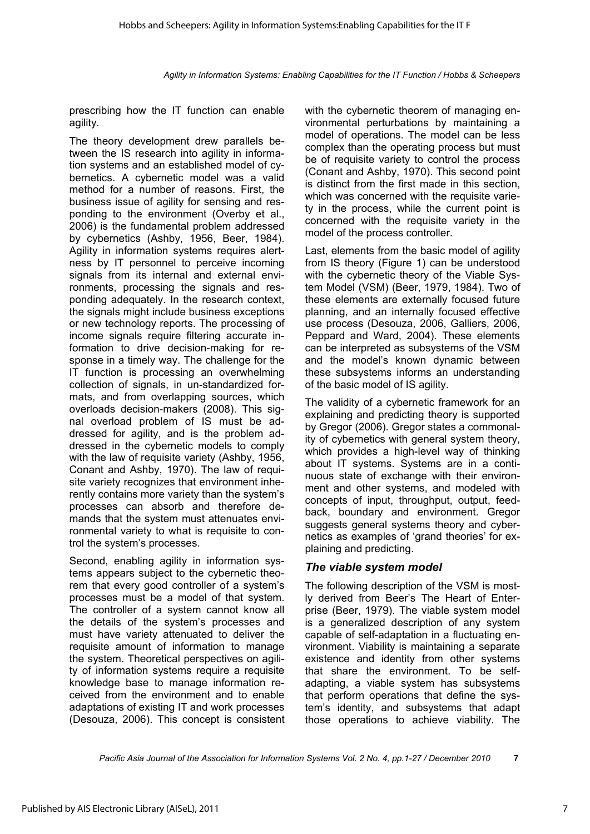prescribing how the IT function can enable agility.

The theory development drew parallels between the IS research into agility in information systems and an established model of cybernetics. A cybernetic model was a valid method for a number of reasons. First, the business issue of agility for sensing and responding to the environment (Overby et al., 2006) is the fundamental problem addressed by cybernetics (Ashby, 1956, Beer, 1984). Agility in information systems requires alertness by IT personnel to perceive incoming signals from its internal and external environments, processing the signals and responding adequately. In the research context, the signals might include business exceptions or new technology reports. The processing of income signals require filtering accurate information to drive decision-making for response in a timely way. The challenge for the IT function is processing an overwhelming collection of signals, in un-standardized formats, and from overlapping sources, which overloads decision-makers (2008). This signal overload problem of IS must be addressed for agility, and is the problem addressed in the cybernetic models to comply with the law of requisite variety (Ashby, 1956, Conant and Ashby, 1970). The law of requisite variety recognizes that environment inherently contains more variety than the system's processes can absorb and therefore demands that the system must attenuates environmental variety to what is requisite to control the system's processes.

Second, enabling agility in information systems appears subject to the cybernetic theorem that every good controller of a system's processes must be a model of that system. The controller of a system cannot know all the details of the system's processes and must have variety attenuated to deliver the requisite amount of information to manage the system. Theoretical perspectives on agility of information systems require a requisite knowledge base to manage information received from the environment and to enable adaptations of existing IT and work processes (Desouza, 2006). This concept is consistent with the cybernetic theorem of managing environmental perturbations by maintaining a model of operations. The model can be less complex than the operating process but must be of requisite variety to control the process (Conant and Ashby, 1970). This second point is distinct from the first made in this section, which was concerned with the requisite variety in the process, while the current point is concerned with the requisite variety in the model of the process controller.

Last, elements from the basic model of agility from IS theory (Figure 1) can be understood with the cybernetic theory of the Viable System Model (VSM) (Beer, 1979, 1984). Two of these elements are externally focused future planning, and an internally focused effective use process (Desouza, 2006, Galliers, 2006, Peppard and Ward, 2004). These elements can be interpreted as subsystems of the VSM and the model's known dynamic between these subsystems informs an understanding of the basic model of IS agility.

The validity of a cybernetic framework for an explaining and predicting theory is supported by Gregor (2006). Gregor states a commonality of cybernetics with general system theory, which provides a high-level way of thinking about IT systems. Systems are in a continuous state of exchange with their environment and other systems, and modeled with concepts of input, throughput, output, feedback, boundary and environment. Gregor suggests general systems theory and cybernetics as examples of 'grand theories' for explaining and predicting.

#### *The viable system model*

The following description of the VSM is mostly derived from Beer's The Heart of Enterprise (Beer, 1979). The viable system model is a generalized description of any system capable of self-adaptation in a fluctuating environment. Viability is maintaining a separate existence and identity from other systems that share the environment. To be selfadapting, a viable system has subsystems that perform operations that define the system's identity, and subsystems that adapt those operations to achieve viability. The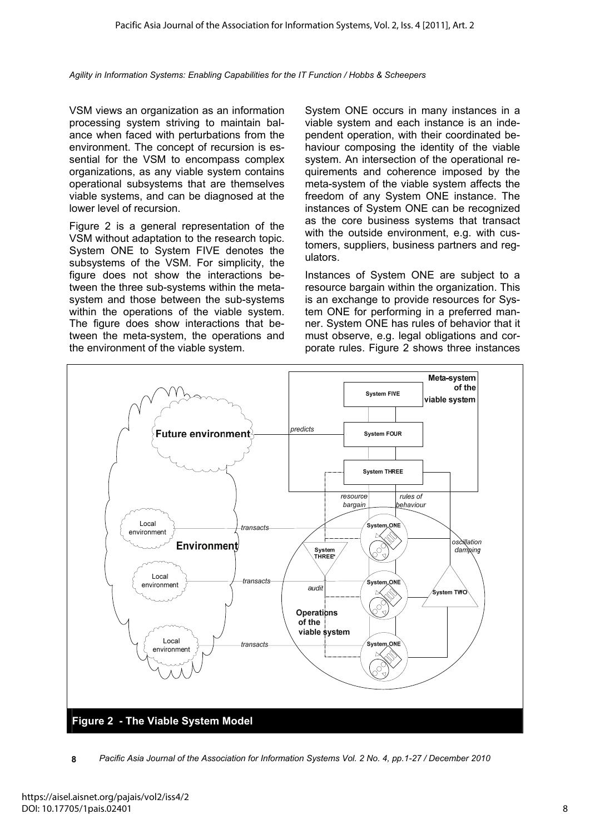VSM views an organization as an information processing system striving to maintain balance when faced with perturbations from the environment. The concept of recursion is essential for the VSM to encompass complex organizations, as any viable system contains operational subsystems that are themselves viable systems, and can be diagnosed at the lower level of recursion.

Figure 2 is a general representation of the VSM without adaptation to the research topic. System ONE to System FIVE denotes the subsystems of the VSM. For simplicity, the figure does not show the interactions between the three sub-systems within the metasystem and those between the sub-systems within the operations of the viable system. The figure does show interactions that between the meta-system, the operations and the environment of the viable system.

System ONE occurs in many instances in a viable system and each instance is an independent operation, with their coordinated behaviour composing the identity of the viable system. An intersection of the operational requirements and coherence imposed by the meta-system of the viable system affects the freedom of any System ONE instance. The instances of System ONE can be recognized as the core business systems that transact with the outside environment, e.g. with customers, suppliers, business partners and regulators.

Instances of System ONE are subject to a resource bargain within the organization. This is an exchange to provide resources for System ONE for performing in a preferred manner. System ONE has rules of behavior that it must observe, e.g. legal obligations and corporate rules. Figure 2 shows three instances



**<sup>8</sup>** *Pacific Asia Journal of the Association for Information Systems Vol. 2 No. 4, pp.1-27 / December 2010*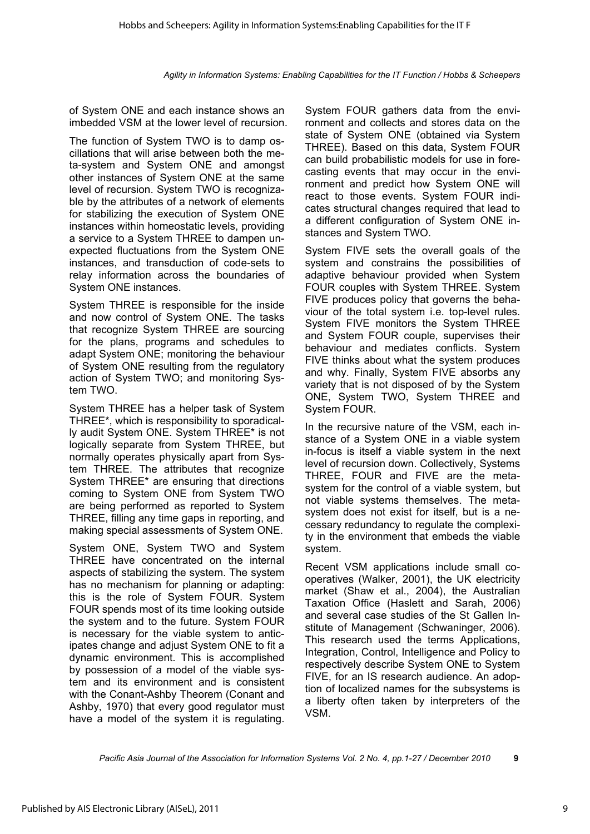of System ONE and each instance shows an imbedded VSM at the lower level of recursion.

The function of System TWO is to damp oscillations that will arise between both the meta-system and System ONE and amongst other instances of System ONE at the same level of recursion. System TWO is recognizable by the attributes of a network of elements for stabilizing the execution of System ONE instances within homeostatic levels, providing a service to a System THREE to dampen unexpected fluctuations from the System ONE instances, and transduction of code-sets to relay information across the boundaries of System ONE instances.

System THREE is responsible for the inside and now control of System ONE. The tasks that recognize System THREE are sourcing for the plans, programs and schedules to adapt System ONE; monitoring the behaviour of System ONE resulting from the regulatory action of System TWO; and monitoring System TWO.

System THREE has a helper task of System THREE\*, which is responsibility to sporadically audit System ONE. System THREE\* is not logically separate from System THREE, but normally operates physically apart from System THREE. The attributes that recognize System THREE\* are ensuring that directions coming to System ONE from System TWO are being performed as reported to System THREE, filling any time gaps in reporting, and making special assessments of System ONE.

System ONE, System TWO and System THREE have concentrated on the internal aspects of stabilizing the system. The system has no mechanism for planning or adapting: this is the role of System FOUR. System FOUR spends most of its time looking outside the system and to the future. System FOUR is necessary for the viable system to anticipates change and adjust System ONE to fit a dynamic environment. This is accomplished by possession of a model of the viable system and its environment and is consistent with the Conant-Ashby Theorem (Conant and Ashby, 1970) that every good regulator must have a model of the system it is regulating.

System FOUR gathers data from the environment and collects and stores data on the state of System ONE (obtained via System THREE). Based on this data, System FOUR can build probabilistic models for use in forecasting events that may occur in the environment and predict how System ONE will react to those events. System FOUR indicates structural changes required that lead to a different configuration of System ONE instances and System TWO.

System FIVE sets the overall goals of the system and constrains the possibilities of adaptive behaviour provided when System FOUR couples with System THREE. System FIVE produces policy that governs the behaviour of the total system i.e. top-level rules. System FIVE monitors the System THREE and System FOUR couple, supervises their behaviour and mediates conflicts. System FIVE thinks about what the system produces and why. Finally, System FIVE absorbs any variety that is not disposed of by the System ONE, System TWO, System THREE and System FOUR.

In the recursive nature of the VSM, each instance of a System ONE in a viable system in-focus is itself a viable system in the next level of recursion down. Collectively, Systems THREE, FOUR and FIVE are the metasystem for the control of a viable system, but not viable systems themselves. The metasystem does not exist for itself, but is a necessary redundancy to regulate the complexity in the environment that embeds the viable system.

Recent VSM applications include small cooperatives (Walker, 2001), the UK electricity market (Shaw et al., 2004), the Australian Taxation Office (Haslett and Sarah, 2006) and several case studies of the St Gallen Institute of Management (Schwaninger, 2006). This research used the terms Applications, Integration, Control, Intelligence and Policy to respectively describe System ONE to System FIVE, for an IS research audience. An adoption of localized names for the subsystems is a liberty often taken by interpreters of the VSM.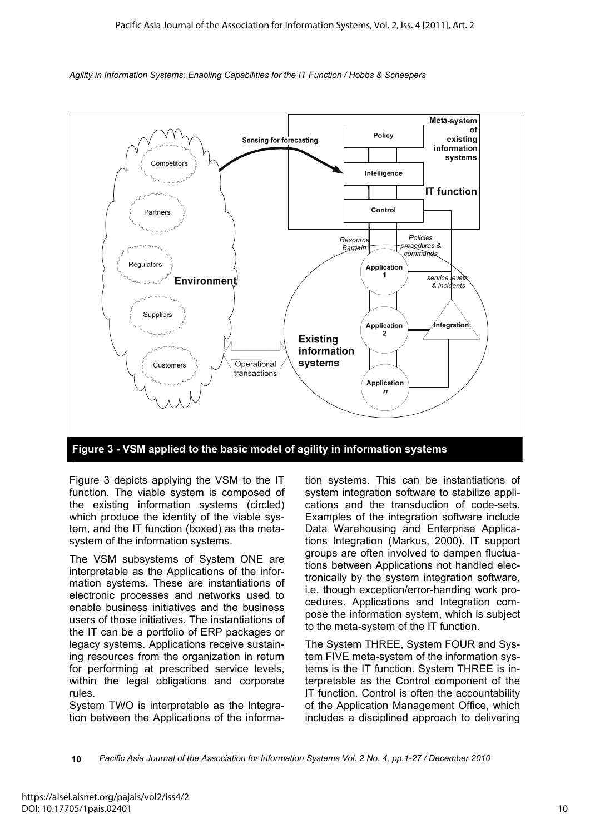

Figure 3 depicts applying the VSM to the IT function. The viable system is composed of the existing information systems (circled) which produce the identity of the viable system, and the IT function (boxed) as the metasystem of the information systems.

The VSM subsystems of System ONE are interpretable as the Applications of the information systems. These are instantiations of electronic processes and networks used to enable business initiatives and the business users of those initiatives. The instantiations of the IT can be a portfolio of ERP packages or legacy systems. Applications receive sustaining resources from the organization in return for performing at prescribed service levels, within the legal obligations and corporate rules.

System TWO is interpretable as the Integration between the Applications of the information systems. This can be instantiations of system integration software to stabilize applications and the transduction of code-sets. Examples of the integration software include Data Warehousing and Enterprise Applications Integration (Markus, 2000). IT support groups are often involved to dampen fluctuations between Applications not handled electronically by the system integration software, i.e. though exception/error-handing work procedures. Applications and Integration compose the information system, which is subject to the meta-system of the IT function.

The System THREE, System FOUR and System FIVE meta-system of the information systems is the IT function. System THREE is interpretable as the Control component of the IT function. Control is often the accountability of the Application Management Office, which includes a disciplined approach to delivering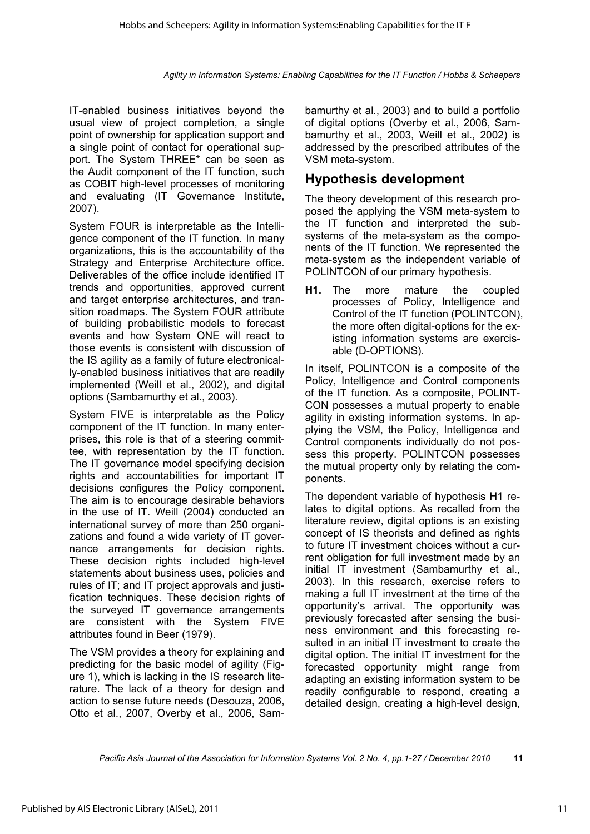IT-enabled business initiatives beyond the usual view of project completion, a single point of ownership for application support and a single point of contact for operational support. The System THREE\* can be seen as the Audit component of the IT function, such as COBIT high-level processes of monitoring and evaluating (IT Governance Institute, 2007).

System FOUR is interpretable as the Intelligence component of the IT function. In many organizations, this is the accountability of the Strategy and Enterprise Architecture office. Deliverables of the office include identified IT trends and opportunities, approved current and target enterprise architectures, and transition roadmaps. The System FOUR attribute of building probabilistic models to forecast events and how System ONE will react to those events is consistent with discussion of the IS agility as a family of future electronically-enabled business initiatives that are readily implemented (Weill et al., 2002), and digital options (Sambamurthy et al., 2003).

System FIVE is interpretable as the Policy component of the IT function. In many enterprises, this role is that of a steering committee, with representation by the IT function. The IT governance model specifying decision rights and accountabilities for important IT decisions configures the Policy component. The aim is to encourage desirable behaviors in the use of IT. Weill (2004) conducted an international survey of more than 250 organizations and found a wide variety of IT governance arrangements for decision rights. These decision rights included high-level statements about business uses, policies and rules of IT; and IT project approvals and justification techniques. These decision rights of the surveyed IT governance arrangements are consistent with the System FIVE attributes found in Beer (1979).

The VSM provides a theory for explaining and predicting for the basic model of agility (Figure 1), which is lacking in the IS research literature. The lack of a theory for design and action to sense future needs (Desouza, 2006, Otto et al., 2007, Overby et al., 2006, Sambamurthy et al., 2003) and to build a portfolio of digital options (Overby et al., 2006, Sambamurthy et al., 2003, Weill et al., 2002) is addressed by the prescribed attributes of the VSM meta-system.

# **Hypothesis development**

The theory development of this research proposed the applying the VSM meta-system to the IT function and interpreted the subsystems of the meta-system as the components of the IT function. We represented the meta-system as the independent variable of POLINTCON of our primary hypothesis.

**H1.** The more mature the coupled processes of Policy, Intelligence and Control of the IT function (POLINTCON), the more often digital-options for the existing information systems are exercisable (D-OPTIONS).

In itself, POLINTCON is a composite of the Policy, Intelligence and Control components of the IT function. As a composite, POLINT-CON possesses a mutual property to enable agility in existing information systems. In applying the VSM, the Policy, Intelligence and Control components individually do not possess this property. POLINTCON possesses the mutual property only by relating the components.

The dependent variable of hypothesis H1 relates to digital options. As recalled from the literature review, digital options is an existing concept of IS theorists and defined as rights to future IT investment choices without a current obligation for full investment made by an initial IT investment (Sambamurthy et al., 2003). In this research, exercise refers to making a full IT investment at the time of the opportunity's arrival. The opportunity was previously forecasted after sensing the business environment and this forecasting resulted in an initial IT investment to create the digital option. The initial IT investment for the forecasted opportunity might range from adapting an existing information system to be readily configurable to respond, creating a detailed design, creating a high-level design,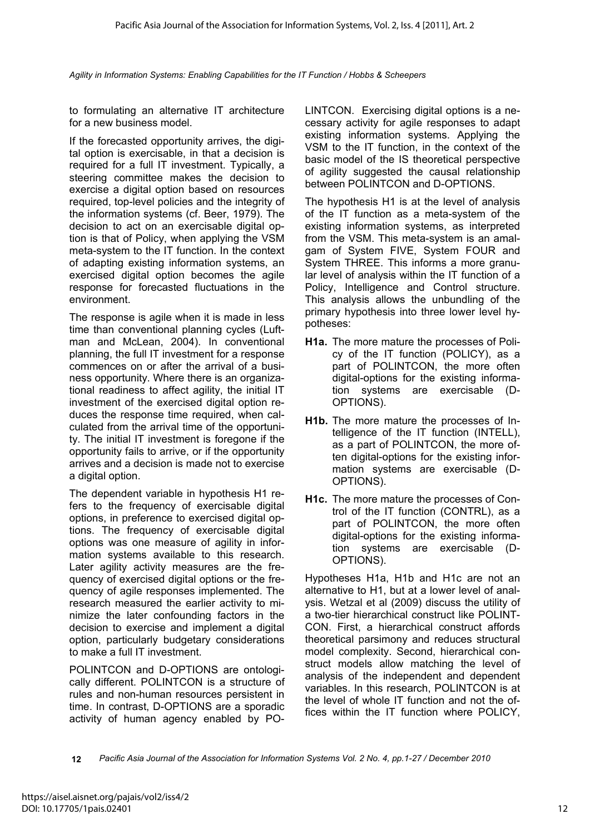to formulating an alternative IT architecture for a new business model.

If the forecasted opportunity arrives, the digital option is exercisable, in that a decision is required for a full IT investment. Typically, a steering committee makes the decision to exercise a digital option based on resources required, top-level policies and the integrity of the information systems (cf. Beer, 1979). The decision to act on an exercisable digital option is that of Policy, when applying the VSM meta-system to the IT function. In the context of adapting existing information systems, an exercised digital option becomes the agile response for forecasted fluctuations in the environment.

The response is agile when it is made in less time than conventional planning cycles (Luftman and McLean, 2004). In conventional planning, the full IT investment for a response commences on or after the arrival of a business opportunity. Where there is an organizational readiness to affect agility, the initial IT investment of the exercised digital option reduces the response time required, when calculated from the arrival time of the opportunity. The initial IT investment is foregone if the opportunity fails to arrive, or if the opportunity arrives and a decision is made not to exercise a digital option.

The dependent variable in hypothesis H1 refers to the frequency of exercisable digital options, in preference to exercised digital options. The frequency of exercisable digital options was one measure of agility in information systems available to this research. Later agility activity measures are the frequency of exercised digital options or the frequency of agile responses implemented. The research measured the earlier activity to minimize the later confounding factors in the decision to exercise and implement a digital option, particularly budgetary considerations to make a full IT investment.

POLINTCON and D-OPTIONS are ontologically different. POLINTCON is a structure of rules and non-human resources persistent in time. In contrast, D-OPTIONS are a sporadic activity of human agency enabled by PO-

LINTCON. Exercising digital options is a necessary activity for agile responses to adapt existing information systems. Applying the VSM to the IT function, in the context of the basic model of the IS theoretical perspective of agility suggested the causal relationship between POLINTCON and D-OPTIONS.

The hypothesis H1 is at the level of analysis of the IT function as a meta-system of the existing information systems, as interpreted from the VSM. This meta-system is an amalgam of System FIVE, System FOUR and System THREE. This informs a more granular level of analysis within the IT function of a Policy, Intelligence and Control structure. This analysis allows the unbundling of the primary hypothesis into three lower level hypotheses:

- **H1a.** The more mature the processes of Policy of the IT function (POLICY), as a part of POLINTCON, the more often digital-options for the existing information systems are exercisable (D-OPTIONS).
- **H1b.** The more mature the processes of Intelligence of the IT function (INTELL), as a part of POLINTCON, the more often digital-options for the existing information systems are exercisable (D-OPTIONS).
- **H1c.** The more mature the processes of Control of the IT function (CONTRL), as a part of POLINTCON, the more often digital-options for the existing information systems are exercisable (D-OPTIONS).

Hypotheses H1a, H1b and H1c are not an alternative to H1, but at a lower level of analysis. Wetzal et al (2009) discuss the utility of a two-tier hierarchical construct like POLINT-CON. First, a hierarchical construct affords theoretical parsimony and reduces structural model complexity. Second, hierarchical construct models allow matching the level of analysis of the independent and dependent variables. In this research, POLINTCON is at the level of whole IT function and not the offices within the IT function where POLICY,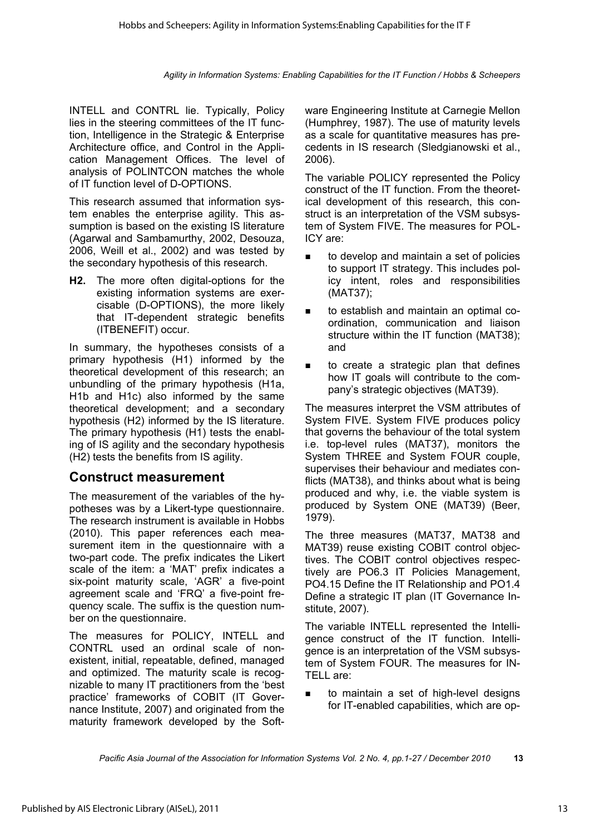INTELL and CONTRL lie. Typically, Policy lies in the steering committees of the IT function, Intelligence in the Strategic & Enterprise Architecture office, and Control in the Application Management Offices. The level of analysis of POLINTCON matches the whole of IT function level of D-OPTIONS.

This research assumed that information system enables the enterprise agility. This assumption is based on the existing IS literature (Agarwal and Sambamurthy, 2002, Desouza, 2006, Weill et al., 2002) and was tested by the secondary hypothesis of this research.

**H2.** The more often digital-options for the existing information systems are exercisable (D-OPTIONS), the more likely that IT-dependent strategic benefits (ITBENEFIT) occur.

In summary, the hypotheses consists of a primary hypothesis (H1) informed by the theoretical development of this research; an unbundling of the primary hypothesis (H1a, H1b and H1c) also informed by the same theoretical development; and a secondary hypothesis (H2) informed by the IS literature. The primary hypothesis (H1) tests the enabling of IS agility and the secondary hypothesis (H2) tests the benefits from IS agility.

# **Construct measurement**

The measurement of the variables of the hypotheses was by a Likert-type questionnaire. The research instrument is available in Hobbs (2010). This paper references each measurement item in the questionnaire with a two-part code. The prefix indicates the Likert scale of the item: a 'MAT' prefix indicates a six-point maturity scale, 'AGR' a five-point agreement scale and 'FRQ' a five-point frequency scale. The suffix is the question number on the questionnaire.

The measures for POLICY, INTELL and CONTRL used an ordinal scale of nonexistent, initial, repeatable, defined, managed and optimized. The maturity scale is recognizable to many IT practitioners from the 'best practice' frameworks of COBIT (IT Governance Institute, 2007) and originated from the maturity framework developed by the Software Engineering Institute at Carnegie Mellon (Humphrey, 1987). The use of maturity levels as a scale for quantitative measures has precedents in IS research (Sledgianowski et al., 2006).

The variable POLICY represented the Policy construct of the IT function. From the theoretical development of this research, this construct is an interpretation of the VSM subsystem of System FIVE. The measures for POL-ICY are:

- to develop and maintain a set of policies to support IT strategy. This includes policy intent, roles and responsibilities (MAT37);
- to establish and maintain an optimal coordination, communication and liaison structure within the IT function (MAT38); and
- to create a strategic plan that defines how IT goals will contribute to the company's strategic objectives (MAT39).

The measures interpret the VSM attributes of System FIVE. System FIVE produces policy that governs the behaviour of the total system i.e. top-level rules (MAT37), monitors the System THREE and System FOUR couple, supervises their behaviour and mediates conflicts (MAT38), and thinks about what is being produced and why, i.e. the viable system is produced by System ONE (MAT39) (Beer, 1979).

The three measures (MAT37, MAT38 and MAT39) reuse existing COBIT control objectives. The COBIT control objectives respectively are PO6.3 IT Policies Management, PO4.15 Define the IT Relationship and PO1.4 Define a strategic IT plan (IT Governance Institute, 2007).

The variable INTELL represented the Intelligence construct of the IT function. Intelligence is an interpretation of the VSM subsystem of System FOUR. The measures for IN-TELL are:

■ to maintain a set of high-level designs for IT-enabled capabilities, which are op-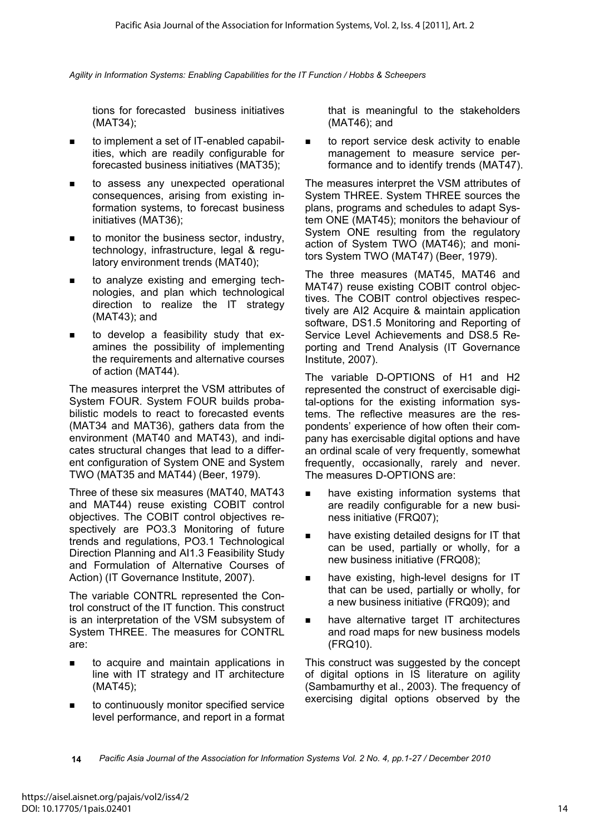tions for forecasted business initiatives (MAT34);

- to implement a set of IT-enabled capabilities, which are readily configurable for forecasted business initiatives (MAT35);
- to assess any unexpected operational consequences, arising from existing information systems, to forecast business initiatives (MAT36);
- $\blacksquare$  to monitor the business sector, industry, technology, infrastructure, legal & regulatory environment trends (MAT40);
- to analyze existing and emerging technologies, and plan which technological direction to realize the IT strategy (MAT43); and
- $\blacksquare$  to develop a feasibility study that examines the possibility of implementing the requirements and alternative courses of action (MAT44).

The measures interpret the VSM attributes of System FOUR. System FOUR builds probabilistic models to react to forecasted events (MAT34 and MAT36), gathers data from the environment (MAT40 and MAT43), and indicates structural changes that lead to a different configuration of System ONE and System TWO (MAT35 and MAT44) (Beer, 1979).

Three of these six measures (MAT40, MAT43 and MAT44) reuse existing COBIT control objectives. The COBIT control objectives respectively are PO3.3 Monitoring of future trends and regulations, PO3.1 Technological Direction Planning and AI1.3 Feasibility Study and Formulation of Alternative Courses of Action) (IT Governance Institute, 2007).

The variable CONTRL represented the Control construct of the IT function. This construct is an interpretation of the VSM subsystem of System THREE. The measures for CONTRL are:

- to acquire and maintain applications in line with IT strategy and IT architecture (MAT45);
- to continuously monitor specified service level performance, and report in a format

that is meaningful to the stakeholders (MAT46); and

**to report service desk activity to enable** management to measure service performance and to identify trends (MAT47).

The measures interpret the VSM attributes of System THREE. System THREE sources the plans, programs and schedules to adapt System ONE (MAT45); monitors the behaviour of System ONE resulting from the regulatory action of System TWO (MAT46); and monitors System TWO (MAT47) (Beer, 1979).

The three measures (MAT45, MAT46 and MAT47) reuse existing COBIT control objectives. The COBIT control objectives respectively are AI2 Acquire & maintain application software, DS1.5 Monitoring and Reporting of Service Level Achievements and DS8.5 Reporting and Trend Analysis (IT Governance Institute, 2007).

The variable D-OPTIONS of H1 and H2 represented the construct of exercisable digital-options for the existing information systems. The reflective measures are the respondents' experience of how often their company has exercisable digital options and have an ordinal scale of very frequently, somewhat frequently, occasionally, rarely and never. The measures D-OPTIONS are:

- **n** have existing information systems that are readily configurable for a new business initiative (FRQ07);
- have existing detailed designs for IT that can be used, partially or wholly, for a new business initiative (FRQ08);
- have existing, high-level designs for IT that can be used, partially or wholly, for a new business initiative (FRQ09); and
- **numble** have alternative target IT architectures and road maps for new business models (FRQ10).

This construct was suggested by the concept of digital options in IS literature on agility (Sambamurthy et al., 2003). The frequency of exercising digital options observed by the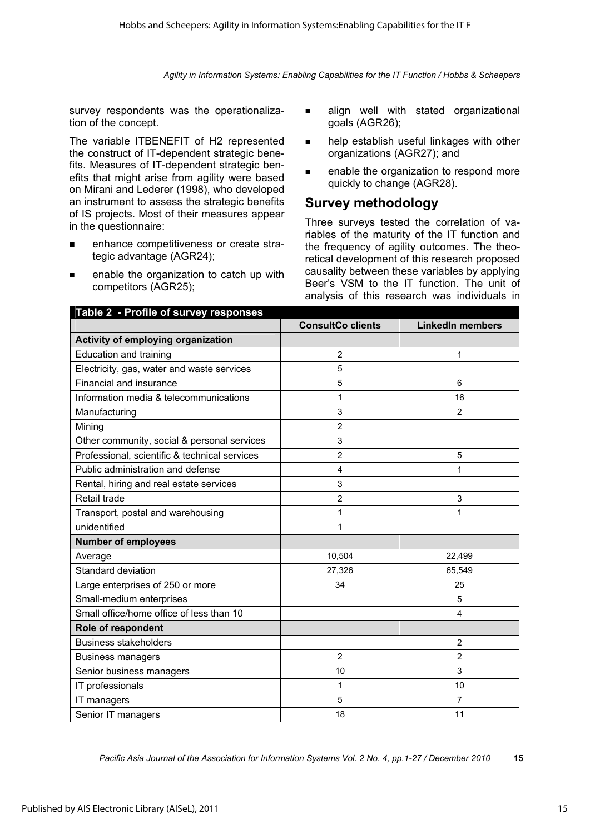survey respondents was the operationalization of the concept.

The variable ITBENEFIT of H2 represented the construct of IT-dependent strategic benefits. Measures of IT-dependent strategic benefits that might arise from agility were based on Mirani and Lederer (1998), who developed an instrument to assess the strategic benefits of IS projects. Most of their measures appear in the questionnaire:

- enhance competitiveness or create strategic advantage (AGR24);
- enable the organization to catch up with competitors (AGR25);
- align well with stated organizational goals (AGR26);
- **help establish useful linkages with other** organizations (AGR27); and
- **EXEC** enable the organization to respond more quickly to change (AGR28).

#### **Survey methodology**

Three surveys tested the correlation of variables of the maturity of the IT function and the frequency of agility outcomes. The theoretical development of this research proposed causality between these variables by applying Beer's VSM to the IT function. The unit of analysis of this research was individuals in

| Table 2 - Profile of survey responses         |                          |                         |
|-----------------------------------------------|--------------------------|-------------------------|
|                                               | <b>ConsultCo clients</b> | <b>LinkedIn members</b> |
| Activity of employing organization            |                          |                         |
| <b>Education and training</b>                 | 2                        | 1                       |
| Electricity, gas, water and waste services    | 5                        |                         |
| Financial and insurance                       | 5                        | 6                       |
| Information media & telecommunications        | 1                        | 16                      |
| Manufacturing                                 | 3                        | $\overline{2}$          |
| Mining                                        | 2                        |                         |
| Other community, social & personal services   | 3                        |                         |
| Professional, scientific & technical services | 2                        | 5                       |
| Public administration and defense             | 4                        | 1                       |
| Rental, hiring and real estate services       | 3                        |                         |
| Retail trade                                  | 2                        | 3                       |
| Transport, postal and warehousing             | $\mathbf{1}$             | 1                       |
| unidentified                                  | 1                        |                         |
| <b>Number of employees</b>                    |                          |                         |
| Average                                       | 10,504                   | 22,499                  |
| Standard deviation                            | 27,326                   | 65,549                  |
| Large enterprises of 250 or more              | 34                       | 25                      |
| Small-medium enterprises                      |                          | 5                       |
| Small office/home office of less than 10      |                          | 4                       |
| Role of respondent                            |                          |                         |
| <b>Business stakeholders</b>                  |                          | $\overline{2}$          |
| <b>Business managers</b>                      | $\overline{2}$           | $\overline{2}$          |
| Senior business managers                      | 10                       | 3                       |
| IT professionals                              | 1                        | 10                      |
| IT managers                                   | 5                        | $\overline{7}$          |
| Senior IT managers                            | 18                       | 11                      |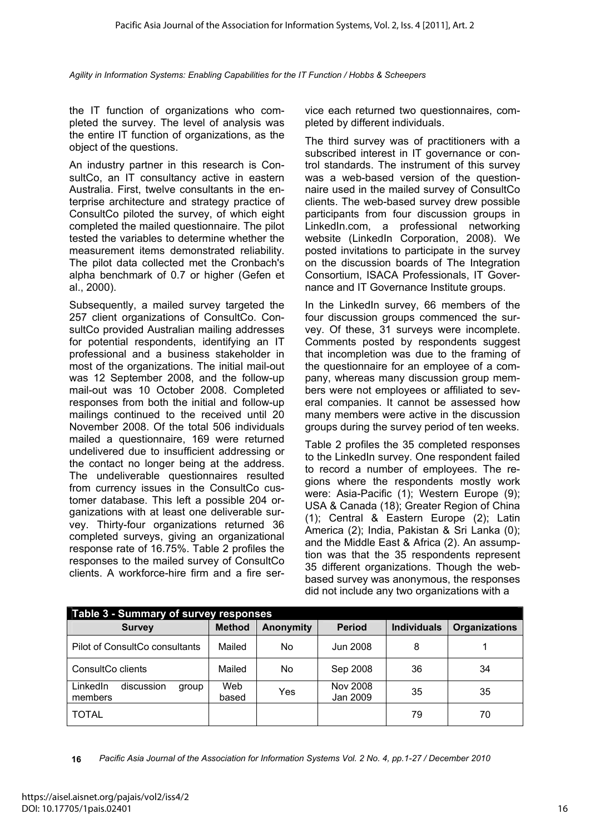the IT function of organizations who completed the survey. The level of analysis was the entire IT function of organizations, as the object of the questions.

An industry partner in this research is ConsultCo, an IT consultancy active in eastern Australia. First, twelve consultants in the enterprise architecture and strategy practice of ConsultCo piloted the survey, of which eight completed the mailed questionnaire. The pilot tested the variables to determine whether the measurement items demonstrated reliability. The pilot data collected met the Cronbach's alpha benchmark of 0.7 or higher (Gefen et al., 2000).

Subsequently, a mailed survey targeted the 257 client organizations of ConsultCo. ConsultCo provided Australian mailing addresses for potential respondents, identifying an IT professional and a business stakeholder in most of the organizations. The initial mail-out was 12 September 2008, and the follow-up mail-out was 10 October 2008. Completed responses from both the initial and follow-up mailings continued to the received until 20 November 2008. Of the total 506 individuals mailed a questionnaire, 169 were returned undelivered due to insufficient addressing or the contact no longer being at the address. The undeliverable questionnaires resulted from currency issues in the ConsultCo customer database. This left a possible 204 organizations with at least one deliverable survey. Thirty-four organizations returned 36 completed surveys, giving an organizational response rate of 16.75%. Table 2 profiles the responses to the mailed survey of ConsultCo clients. A workforce-hire firm and a fire service each returned two questionnaires, completed by different individuals.

The third survey was of practitioners with a subscribed interest in IT governance or control standards. The instrument of this survey was a web-based version of the questionnaire used in the mailed survey of ConsultCo clients. The web-based survey drew possible participants from four discussion groups in LinkedIn.com, a professional networking website (LinkedIn Corporation, 2008). We posted invitations to participate in the survey on the discussion boards of The Integration Consortium, ISACA Professionals, IT Governance and IT Governance Institute groups.

In the LinkedIn survey, 66 members of the four discussion groups commenced the survey. Of these, 31 surveys were incomplete. Comments posted by respondents suggest that incompletion was due to the framing of the questionnaire for an employee of a company, whereas many discussion group members were not employees or affiliated to several companies. It cannot be assessed how many members were active in the discussion groups during the survey period of ten weeks.

Table 2 profiles the 35 completed responses to the LinkedIn survey. One respondent failed to record a number of employees. The regions where the respondents mostly work were: Asia-Pacific (1); Western Europe (9); USA & Canada (18); Greater Region of China (1); Central & Eastern Europe (2); Latin America (2); India, Pakistan & Sri Lanka (0); and the Middle East & Africa (2). An assumption was that the 35 respondents represent 35 different organizations. Though the webbased survey was anonymous, the responses did not include any two organizations with a

| Table 3 - Summary of survey responses      |               |                  |                      |                    |                      |
|--------------------------------------------|---------------|------------------|----------------------|--------------------|----------------------|
| <b>Survey</b>                              | <b>Method</b> | <b>Anonymity</b> | <b>Period</b>        | <b>Individuals</b> | <b>Organizations</b> |
| Pilot of ConsultCo consultants             | Mailed        | No               | Jun 2008             | 8                  |                      |
| ConsultCo clients                          | Mailed        | No               | Sep 2008             | 36                 | 34                   |
| LinkedIn<br>discussion<br>group<br>members | Web<br>based  | Yes              | Nov 2008<br>Jan 2009 | 35                 | 35                   |
| <b>TOTAL</b>                               |               |                  |                      | 79                 | 70                   |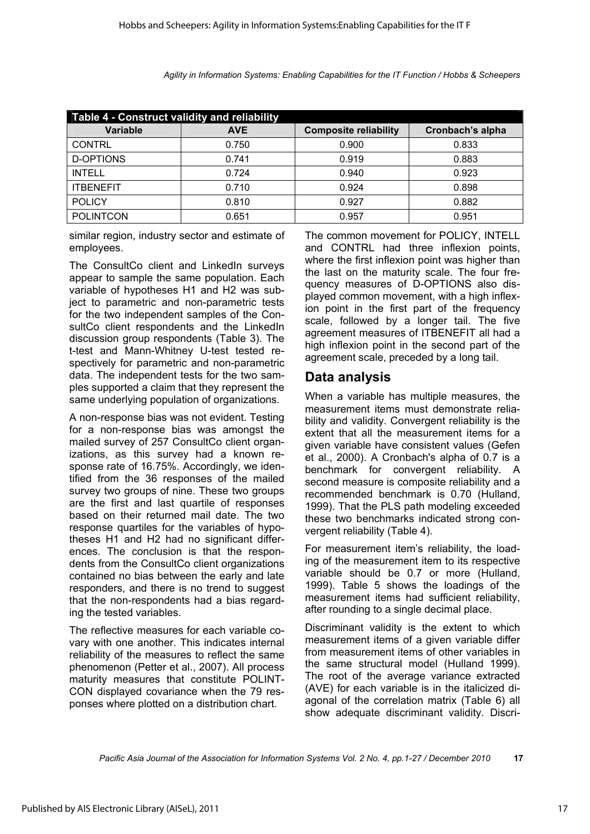| Table 4 - Construct validity and reliability |            |                              |                  |  |
|----------------------------------------------|------------|------------------------------|------------------|--|
| <b>Variable</b>                              | <b>AVE</b> | <b>Composite reliability</b> | Cronbach's alpha |  |
| <b>CONTRL</b>                                | 0.750      | 0.900                        | 0.833            |  |
| <b>D-OPTIONS</b>                             | 0.741      | 0.919                        | 0.883            |  |
| <b>INTELL</b>                                | 0.724      | 0.940                        | 0.923            |  |
| <b>ITBENEFIT</b>                             | 0.710      | 0.924                        | 0.898            |  |
| <b>POLICY</b>                                | 0.810      | 0.927                        | 0.882            |  |
| <b>POLINTCON</b>                             | 0.651      | 0.957                        | 0.951            |  |

similar region, industry sector and estimate of employees.

The ConsultCo client and LinkedIn surveys appear to sample the same population. Each variable of hypotheses H1 and H2 was subject to parametric and non-parametric tests for the two independent samples of the ConsultCo client respondents and the LinkedIn discussion group respondents (Table 3). The t-test and Mann-Whitney U-test tested respectively for parametric and non-parametric data. The independent tests for the two samples supported a claim that they represent the same underlying population of organizations.

A non-response bias was not evident. Testing for a non-response bias was amongst the mailed survey of 257 ConsultCo client organizations, as this survey had a known response rate of 16.75%. Accordingly, we identified from the 36 responses of the mailed survey two groups of nine. These two groups are the first and last quartile of responses based on their returned mail date. The two response quartiles for the variables of hypotheses H1 and H2 had no significant differences. The conclusion is that the respondents from the ConsultCo client organizations contained no bias between the early and late responders, and there is no trend to suggest that the non-respondents had a bias regarding the tested variables.

The reflective measures for each variable covary with one another. This indicates internal reliability of the measures to reflect the same phenomenon (Petter et al., 2007). All process maturity measures that constitute POLINT-CON displayed covariance when the 79 responses where plotted on a distribution chart.

The common movement for POLICY, INTELL and CONTRL had three inflexion points, where the first inflexion point was higher than the last on the maturity scale. The four frequency measures of D-OPTIONS also displayed common movement, with a high inflexion point in the first part of the frequency scale, followed by a longer tail. The five agreement measures of ITBENEFIT all had a high inflexion point in the second part of the agreement scale, preceded by a long tail.

### **Data analysis**

When a variable has multiple measures, the measurement items must demonstrate reliability and validity. Convergent reliability is the extent that all the measurement items for a given variable have consistent values (Gefen et al., 2000). A Cronbach's alpha of 0.7 is a benchmark for convergent reliability. A second measure is composite reliability and a recommended benchmark is 0.70 (Hulland, 1999). That the PLS path modeling exceeded these two benchmarks indicated strong convergent reliability (Table 4).

For measurement item's reliability, the loading of the measurement item to its respective variable should be 0.7 or more (Hulland, 1999). Table 5 shows the loadings of the measurement items had sufficient reliability, after rounding to a single decimal place.

Discriminant validity is the extent to which measurement items of a given variable differ from measurement items of other variables in the same structural model (Hulland 1999). The root of the average variance extracted (AVE) for each variable is in the italicized diagonal of the correlation matrix (Table 6) all show adequate discriminant validity. Discri-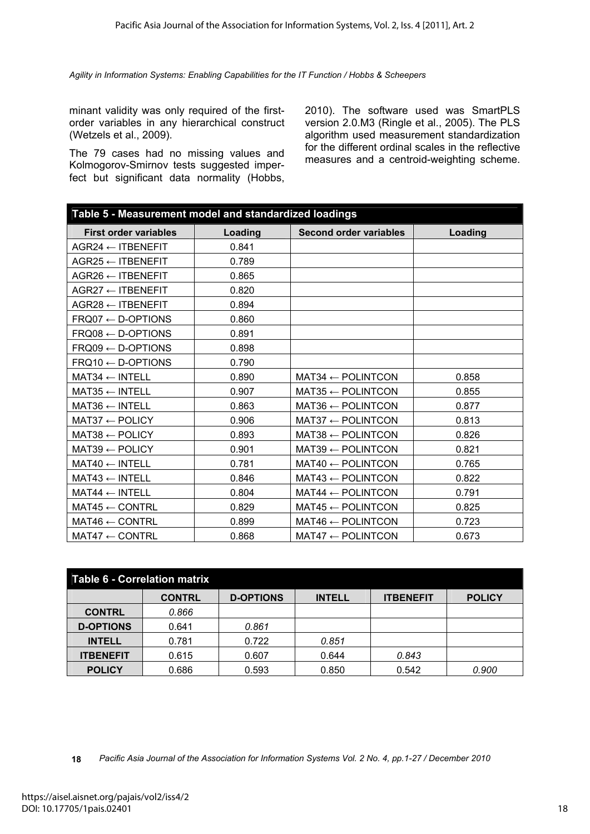minant validity was only required of the firstorder variables in any hierarchical construct (Wetzels et al., 2009).

The 79 cases had no missing values and Kolmogorov-Smirnov tests suggested imperfect but significant data normality (Hobbs,

2010). The software used was SmartPLS version 2.0.M3 (Ringle et al., 2005). The PLS algorithm used measurement standardization for the different ordinal scales in the reflective measures and a centroid-weighting scheme.

| Table 5 - Measurement model and standardized loadings |         |                                     |         |  |
|-------------------------------------------------------|---------|-------------------------------------|---------|--|
| <b>First order variables</b>                          | Loading | <b>Second order variables</b>       | Loading |  |
| $AGR24 \leftarrow ITBENEFIT$                          | 0.841   |                                     |         |  |
| $AGR25 \leftarrow ITBENEFIT$                          | 0.789   |                                     |         |  |
| $AGR26 \leftarrow ITBENEFIT$                          | 0.865   |                                     |         |  |
| $AGR27 \leftarrow ITBENEFIT$                          | 0.820   |                                     |         |  |
| $AGR28 \leftarrow ITBENEFIT$                          | 0.894   |                                     |         |  |
| $FRQ07 \leftarrow$ D-OPTIONS                          | 0.860   |                                     |         |  |
| $FRQ08 \leftarrow$ D-OPTIONS                          | 0.891   |                                     |         |  |
| $FRQ09 \leftarrow$ D-OPTIONS                          | 0.898   |                                     |         |  |
| $FRQ10 \leftarrow$ D-OPTIONS                          | 0.790   |                                     |         |  |
| $MAT34 \leftarrow INTELL$                             | 0.890   | $MAT34 \leftarrow \text{POLINTCON}$ | 0.858   |  |
| $MAT35 \leftarrow INTELL$                             | 0.907   | $MAT35 \leftarrow \text{POLINTCON}$ | 0.855   |  |
| $MAT36 \leftarrow INTEL$                              | 0.863   | $MAT36 \leftarrow \text{POLINTCON}$ | 0.877   |  |
| $MAT37 \leftarrow \text{POLICY}$                      | 0.906   | $MAT37 \leftarrow \text{POLINTCON}$ | 0.813   |  |
| $MAT38 \leftarrow POLICY$                             | 0.893   | $MAT38 \leftarrow \text{POLINTCON}$ | 0.826   |  |
| $MAT39 \leftarrow POLICY$                             | 0.901   | $MAT39 \leftarrow \text{POLINTCON}$ | 0.821   |  |
| $MAT40 \leftarrow INTELL$                             | 0.781   | $MAT40 \leftarrow \text{POLINTCON}$ | 0.765   |  |
| $MAT43 \leftarrow INTELL$                             | 0.846   | $MAT43 \leftarrow \text{POLINTCON}$ | 0.822   |  |
| $MAT44 \leftarrow INTEL$                              | 0.804   | $MAT44 \leftarrow \text{POLINTCON}$ | 0.791   |  |
| $MAT45 \leftarrow$ CONTRL                             | 0.829   | $MAT45 \leftarrow \text{POLINTCON}$ | 0.825   |  |
| $MAT46 \leftarrow CONTRL$                             | 0.899   | $MAT46 \leftarrow \text{POLINTCON}$ | 0.723   |  |
| $MAT47 \leftarrow CONTRL$                             | 0.868   | $MAT47 \leftarrow \text{POLINTCON}$ | 0.673   |  |

| <b>Table 6 - Correlation matrix</b> |               |                  |               |                  |               |
|-------------------------------------|---------------|------------------|---------------|------------------|---------------|
|                                     | <b>CONTRL</b> | <b>D-OPTIONS</b> | <b>INTELL</b> | <b>ITBENEFIT</b> | <b>POLICY</b> |
| <b>CONTRL</b>                       | 0.866         |                  |               |                  |               |
| <b>D-OPTIONS</b>                    | 0.641         | 0.861            |               |                  |               |
| <b>INTELL</b>                       | 0.781         | 0.722            | 0.851         |                  |               |
| <b>ITBENEFIT</b>                    | 0.615         | 0.607            | 0.644         | 0.843            |               |
| <b>POLICY</b>                       | 0.686         | 0.593            | 0.850         | 0.542            | 0.900         |

**<sup>18</sup>** *Pacific Asia Journal of the Association for Information Systems Vol. 2 No. 4, pp.1-27 / December 2010*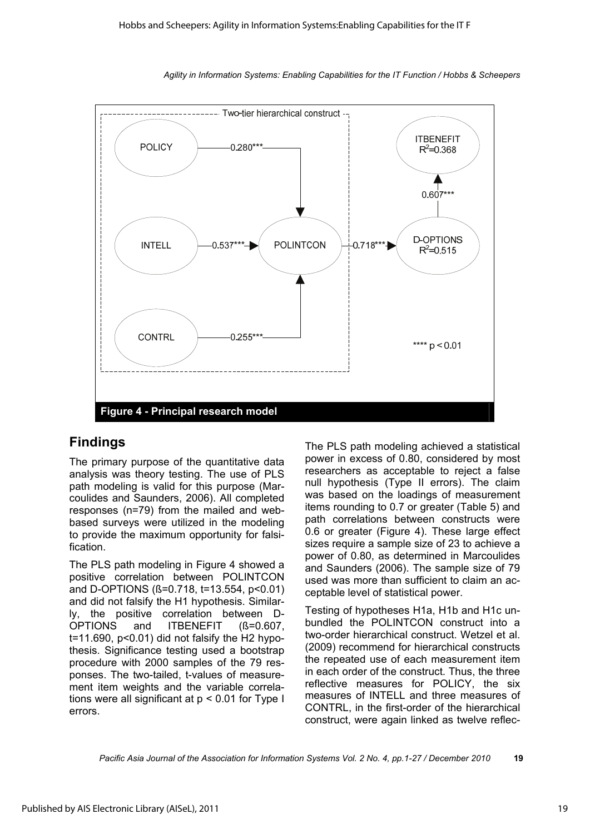

*Agility in Information Systems: Enabling Capabilities for the IT Function / Hobbs & Scheepers* 

# **Findings**

The primary purpose of the quantitative data analysis was theory testing. The use of PLS path modeling is valid for this purpose (Marcoulides and Saunders, 2006). All completed responses (n=79) from the mailed and webbased surveys were utilized in the modeling to provide the maximum opportunity for falsification.

The PLS path modeling in Figure 4 showed a positive correlation between POLINTCON and D-OPTIONS (ß=0.718, t=13.554, p<0.01) and did not falsify the H1 hypothesis. Similarly, the positive correlation between D-OPTIONS and ITBENEFIT (ß=0.607,  $t=11.690$ ,  $p<0.01$ ) did not falsify the H2 hypothesis. Significance testing used a bootstrap procedure with 2000 samples of the 79 responses. The two-tailed, t-values of measurement item weights and the variable correlations were all significant at  $p < 0.01$  for Type I errors.

The PLS path modeling achieved a statistical power in excess of 0.80, considered by most researchers as acceptable to reject a false null hypothesis (Type II errors). The claim was based on the loadings of measurement items rounding to 0.7 or greater (Table 5) and path correlations between constructs were 0.6 or greater (Figure 4). These large effect sizes require a sample size of 23 to achieve a power of 0.80, as determined in Marcoulides and Saunders (2006). The sample size of 79 used was more than sufficient to claim an acceptable level of statistical power.

Testing of hypotheses H1a, H1b and H1c unbundled the POLINTCON construct into a two-order hierarchical construct. Wetzel et al. (2009) recommend for hierarchical constructs the repeated use of each measurement item in each order of the construct. Thus, the three reflective measures for POLICY, the six measures of INTELL and three measures of CONTRL, in the first-order of the hierarchical construct, were again linked as twelve reflec-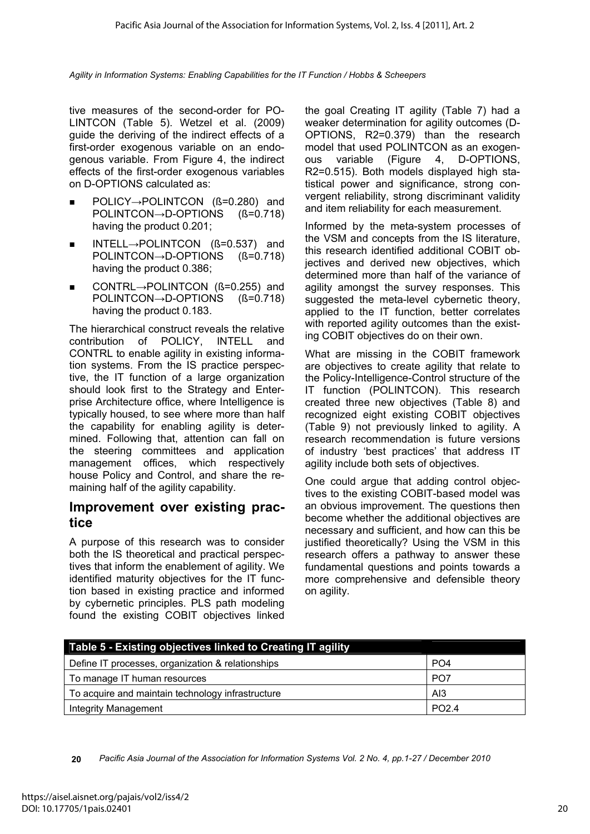tive measures of the second-order for PO-LINTCON (Table 5). Wetzel et al. (2009) guide the deriving of the indirect effects of a first-order exogenous variable on an endogenous variable. From Figure 4, the indirect effects of the first-order exogenous variables on D-OPTIONS calculated as:

- POLICY→POLINTCON (ß=0.280) and POLINTCON→D-OPTIONS (ß=0.718) having the product 0.201;
- INTELL→POLINTCON (ß=0.537) and POLINTCON→D-OPTIONS (ß=0.718) having the product 0.386;
- CONTRL→POLINTCON (ß=0.255) and POLINTCON→D-OPTIONS (ß=0.718) having the product 0.183.

The hierarchical construct reveals the relative contribution of POLICY, INTELL and CONTRL to enable agility in existing information systems. From the IS practice perspective, the IT function of a large organization should look first to the Strategy and Enterprise Architecture office, where Intelligence is typically housed, to see where more than half the capability for enabling agility is determined. Following that, attention can fall on the steering committees and application management offices, which respectively house Policy and Control, and share the remaining half of the agility capability.

### **Improvement over existing practice**

A purpose of this research was to consider both the IS theoretical and practical perspectives that inform the enablement of agility. We identified maturity objectives for the IT function based in existing practice and informed by cybernetic principles. PLS path modeling found the existing COBIT objectives linked

the goal Creating IT agility (Table 7) had a weaker determination for agility outcomes (D-OPTIONS, R2=0.379) than the research model that used POLINTCON as an exogenous variable (Figure 4, D-OPTIONS, R2=0.515). Both models displayed high statistical power and significance, strong convergent reliability, strong discriminant validity and item reliability for each measurement.

Informed by the meta-system processes of the VSM and concepts from the IS literature, this research identified additional COBIT objectives and derived new objectives, which determined more than half of the variance of agility amongst the survey responses. This suggested the meta-level cybernetic theory, applied to the IT function, better correlates with reported agility outcomes than the existing COBIT objectives do on their own.

What are missing in the COBIT framework are objectives to create agility that relate to the Policy-Intelligence-Control structure of the IT function (POLINTCON). This research created three new objectives (Table 8) and recognized eight existing COBIT objectives (Table 9) not previously linked to agility. A research recommendation is future versions of industry 'best practices' that address IT agility include both sets of objectives.

One could argue that adding control objectives to the existing COBIT-based model was an obvious improvement. The questions then become whether the additional objectives are necessary and sufficient, and how can this be justified theoretically? Using the VSM in this research offers a pathway to answer these fundamental questions and points towards a more comprehensive and defensible theory on agility.

| Table 5 - Existing objectives linked to Creating IT agility |                   |  |  |
|-------------------------------------------------------------|-------------------|--|--|
| Define IT processes, organization & relationships           | PO <sub>4</sub>   |  |  |
| To manage IT human resources                                | PO <sub>7</sub>   |  |  |
| To acquire and maintain technology infrastructure           | A <sub>13</sub>   |  |  |
| <b>Integrity Management</b>                                 | PO <sub>2.4</sub> |  |  |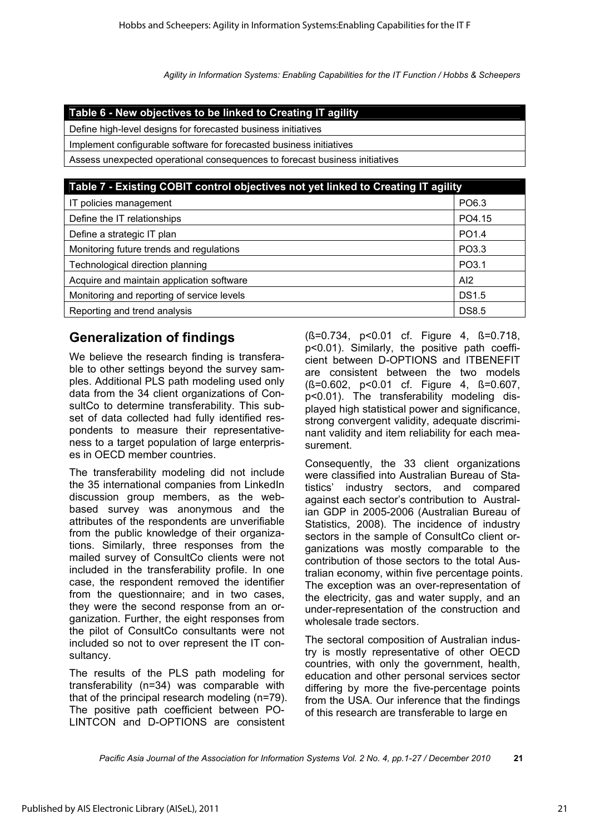| Table 6 - New objectives to be linked to Creating IT agility |  |  |
|--------------------------------------------------------------|--|--|
|                                                              |  |  |

Define high-level designs for forecasted business initiatives

Implement configurable software for forecasted business initiatives

Assess unexpected operational consequences to forecast business initiatives

| Table 7 - Existing COBIT control objectives not yet linked to Creating IT agility |                   |  |  |
|-----------------------------------------------------------------------------------|-------------------|--|--|
| IT policies management                                                            | PO6.3             |  |  |
| Define the IT relationships                                                       | PO4.15            |  |  |
| Define a strategic IT plan                                                        | PO <sub>1.4</sub> |  |  |
| Monitoring future trends and regulations                                          | PO3.3             |  |  |
| Technological direction planning                                                  | PO3.1             |  |  |
| Acquire and maintain application software                                         | AI2               |  |  |
| Monitoring and reporting of service levels                                        | <b>DS1.5</b>      |  |  |
| Reporting and trend analysis                                                      | <b>DS8.5</b>      |  |  |

# **Generalization of findings**

We believe the research finding is transferable to other settings beyond the survey samples. Additional PLS path modeling used only data from the 34 client organizations of ConsultCo to determine transferability. This subset of data collected had fully identified respondents to measure their representativeness to a target population of large enterprises in OECD member countries.

The transferability modeling did not include the 35 international companies from LinkedIn discussion group members, as the webbased survey was anonymous and the attributes of the respondents are unverifiable from the public knowledge of their organizations. Similarly, three responses from the mailed survey of ConsultCo clients were not included in the transferability profile. In one case, the respondent removed the identifier from the questionnaire; and in two cases, they were the second response from an organization. Further, the eight responses from the pilot of ConsultCo consultants were not included so not to over represent the IT consultancy.

The results of the PLS path modeling for transferability (n=34) was comparable with that of the principal research modeling (n=79). The positive path coefficient between PO-LINTCON and D-OPTIONS are consistent

(ß=0.734, p<0.01 cf. Figure 4, ß=0.718, p<0.01). Similarly, the positive path coefficient between D-OPTIONS and ITBENEFIT are consistent between the two models (ß=0.602, p<0.01 cf. Figure 4, ß=0.607, p<0.01). The transferability modeling displayed high statistical power and significance, strong convergent validity, adequate discriminant validity and item reliability for each measurement.

Consequently, the 33 client organizations were classified into Australian Bureau of Statistics' industry sectors, and compared against each sector's contribution to Australian GDP in 2005-2006 (Australian Bureau of Statistics, 2008). The incidence of industry sectors in the sample of ConsultCo client organizations was mostly comparable to the contribution of those sectors to the total Australian economy, within five percentage points. The exception was an over-representation of the electricity, gas and water supply, and an under-representation of the construction and wholesale trade sectors.

The sectoral composition of Australian industry is mostly representative of other OECD countries, with only the government, health, education and other personal services sector differing by more the five-percentage points from the USA. Our inference that the findings of this research are transferable to large en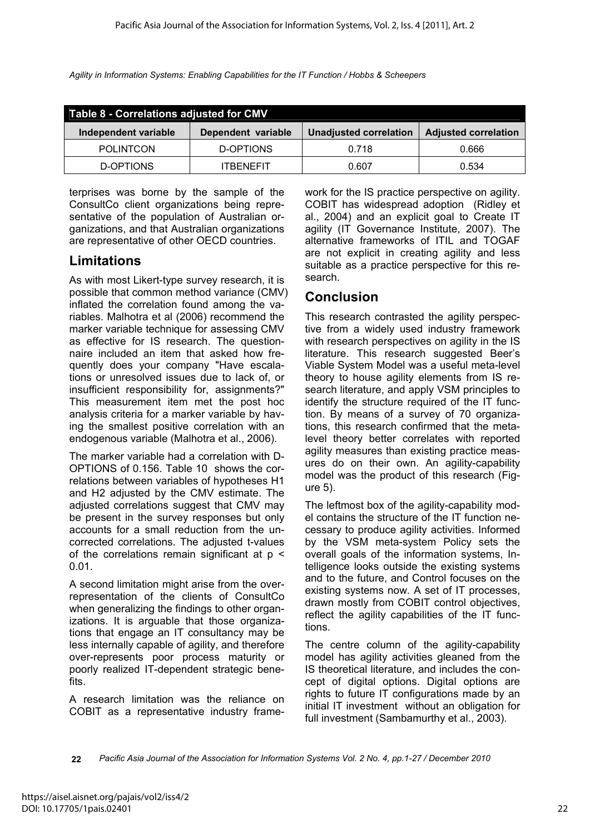| Table 8 - Correlations adjusted for CMV |                    |                               |                             |  |  |
|-----------------------------------------|--------------------|-------------------------------|-----------------------------|--|--|
| Independent variable                    | Dependent variable | <b>Unadjusted correlation</b> | <b>Adjusted correlation</b> |  |  |
| POLINTCON                               | D-OPTIONS          | 0.718                         | 0.666                       |  |  |
| D-OPTIONS                               | <b>ITBENEFIT</b>   | 0.607                         | 0.534                       |  |  |

terprises was borne by the sample of the ConsultCo client organizations being representative of the population of Australian organizations, and that Australian organizations are representative of other OECD countries.

### **Limitations**

As with most Likert-type survey research, it is possible that common method variance (CMV) inflated the correlation found among the variables. Malhotra et al (2006) recommend the marker variable technique for assessing CMV as effective for IS research. The questionnaire included an item that asked how frequently does your company "Have escalations or unresolved issues due to lack of, or insufficient responsibility for, assignments?" This measurement item met the post hoc analysis criteria for a marker variable by having the smallest positive correlation with an endogenous variable (Malhotra et al., 2006).

The marker variable had a correlation with D-OPTIONS of 0.156. Table 10 shows the correlations between variables of hypotheses H1 and H2 adjusted by the CMV estimate. The adjusted correlations suggest that CMV may be present in the survey responses but only accounts for a small reduction from the uncorrected correlations. The adjusted t-values of the correlations remain significant at p < 0.01.

A second limitation might arise from the overrepresentation of the clients of ConsultCo when generalizing the findings to other organizations. It is arguable that those organizations that engage an IT consultancy may be less internally capable of agility, and therefore over-represents poor process maturity or poorly realized IT-dependent strategic benefits.

A research limitation was the reliance on COBIT as a representative industry framework for the IS practice perspective on agility. COBIT has widespread adoption (Ridley et al., 2004) and an explicit goal to Create IT agility (IT Governance Institute, 2007). The alternative frameworks of ITIL and TOGAF are not explicit in creating agility and less suitable as a practice perspective for this research.

### **Conclusion**

This research contrasted the agility perspective from a widely used industry framework with research perspectives on agility in the IS literature. This research suggested Beer's Viable System Model was a useful meta-level theory to house agility elements from IS research literature, and apply VSM principles to identify the structure required of the IT function. By means of a survey of 70 organizations, this research confirmed that the metalevel theory better correlates with reported agility measures than existing practice measures do on their own. An agility-capability model was the product of this research (Figure 5).

The leftmost box of the agility-capability model contains the structure of the IT function necessary to produce agility activities. Informed by the VSM meta-system Policy sets the overall goals of the information systems, Intelligence looks outside the existing systems and to the future, and Control focuses on the existing systems now. A set of IT processes, drawn mostly from COBIT control objectives, reflect the agility capabilities of the IT functions.

The centre column of the agility-capability model has agility activities gleaned from the IS theoretical literature, and includes the concept of digital options. Digital options are rights to future IT configurations made by an initial IT investment without an obligation for full investment (Sambamurthy et al., 2003).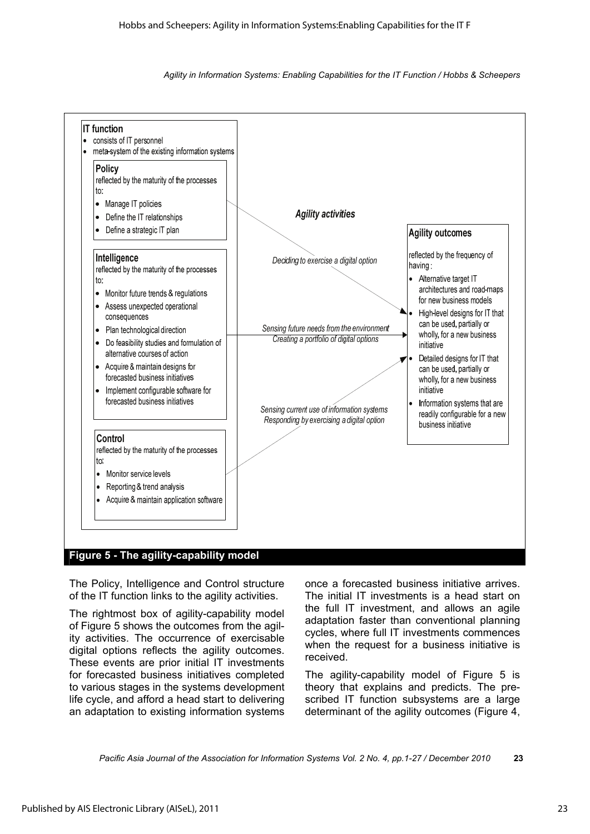

The Policy, Intelligence and Control structure of the IT function links to the agility activities.

The rightmost box of agility-capability model of Figure 5 shows the outcomes from the agility activities. The occurrence of exercisable digital options reflects the agility outcomes. These events are prior initial IT investments for forecasted business initiatives completed to various stages in the systems development life cycle, and afford a head start to delivering an adaptation to existing information systems

once a forecasted business initiative arrives. The initial IT investments is a head start on the full IT investment, and allows an agile adaptation faster than conventional planning cycles, where full IT investments commences when the request for a business initiative is received.

The agility-capability model of Figure 5 is theory that explains and predicts. The prescribed IT function subsystems are a large determinant of the agility outcomes (Figure 4,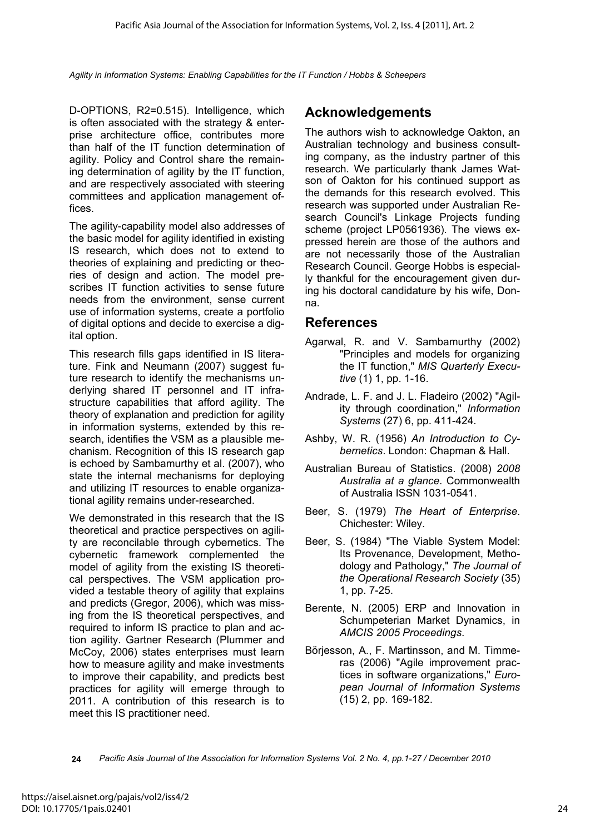D-OPTIONS, R2=0.515). Intelligence, which is often associated with the strategy & enterprise architecture office, contributes more than half of the IT function determination of agility. Policy and Control share the remaining determination of agility by the IT function, and are respectively associated with steering committees and application management offices.

The agility-capability model also addresses of the basic model for agility identified in existing IS research, which does not to extend to theories of explaining and predicting or theories of design and action. The model prescribes IT function activities to sense future needs from the environment, sense current use of information systems, create a portfolio of digital options and decide to exercise a digital option.

This research fills gaps identified in IS literature. Fink and Neumann (2007) suggest future research to identify the mechanisms underlying shared IT personnel and IT infrastructure capabilities that afford agility. The theory of explanation and prediction for agility in information systems, extended by this research, identifies the VSM as a plausible mechanism. Recognition of this IS research gap is echoed by Sambamurthy et al. (2007), who state the internal mechanisms for deploying and utilizing IT resources to enable organizational agility remains under-researched.

We demonstrated in this research that the IS theoretical and practice perspectives on agility are reconcilable through cybernetics. The cybernetic framework complemented the model of agility from the existing IS theoretical perspectives. The VSM application provided a testable theory of agility that explains and predicts (Gregor, 2006), which was missing from the IS theoretical perspectives, and required to inform IS practice to plan and action agility. Gartner Research (Plummer and McCoy, 2006) states enterprises must learn how to measure agility and make investments to improve their capability, and predicts best practices for agility will emerge through to 2011. A contribution of this research is to meet this IS practitioner need.

### **Acknowledgements**

The authors wish to acknowledge Oakton, an Australian technology and business consulting company, as the industry partner of this research. We particularly thank James Watson of Oakton for his continued support as the demands for this research evolved. This research was supported under Australian Research Council's Linkage Projects funding scheme (project LP0561936). The views expressed herein are those of the authors and are not necessarily those of the Australian Research Council. George Hobbs is especially thankful for the encouragement given during his doctoral candidature by his wife, Donna.

### **References**

- Agarwal, R. and V. Sambamurthy (2002) "Principles and models for organizing the IT function," *MIS Quarterly Executive* (1) 1, pp. 1-16.
- Andrade, L. F. and J. L. Fladeiro (2002) "Agility through coordination," *Information Systems* (27) 6, pp. 411-424.
- Ashby, W. R. (1956) *An Introduction to Cybernetics*. London: Chapman & Hall.
- Australian Bureau of Statistics. (2008) *2008 Australia at a glance*. Commonwealth of Australia ISSN 1031-0541.
- Beer, S. (1979) *The Heart of Enterprise*. Chichester: Wiley.
- Beer, S. (1984) "The Viable System Model: Its Provenance, Development, Methodology and Pathology," *The Journal of the Operational Research Society* (35) 1, pp. 7-25.
- Berente, N. (2005) ERP and Innovation in Schumpeterian Market Dynamics, in *AMCIS 2005 Proceedings*.
- Börjesson, A., F. Martinsson, and M. Timmeras (2006) "Agile improvement practices in software organizations," *European Journal of Information Systems* (15) 2, pp. 169-182.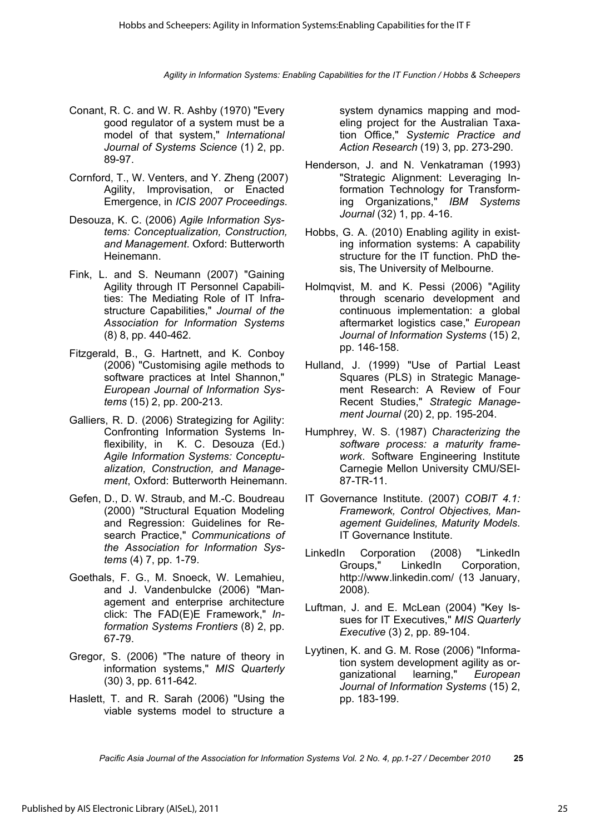- Conant, R. C. and W. R. Ashby (1970) "Every good regulator of a system must be a model of that system," *International Journal of Systems Science* (1) 2, pp. 89-97.
- Cornford, T., W. Venters, and Y. Zheng (2007) Agility, Improvisation, or Enacted Emergence, in *ICIS 2007 Proceedings*.
- Desouza, K. C. (2006) *Agile Information Systems: Conceptualization, Construction, and Management*. Oxford: Butterworth Heinemann.
- Fink, L. and S. Neumann (2007) "Gaining Agility through IT Personnel Capabilities: The Mediating Role of IT Infrastructure Capabilities," *Journal of the Association for Information Systems* (8) 8, pp. 440-462.
- Fitzgerald, B., G. Hartnett, and K. Conboy (2006) "Customising agile methods to software practices at Intel Shannon," *European Journal of Information Systems* (15) 2, pp. 200-213.
- Galliers, R. D. (2006) Strategizing for Agility: Confronting Information Systems Inflexibility, in K. C. Desouza (Ed.) *Agile Information Systems: Conceptualization, Construction, and Management*, Oxford: Butterworth Heinemann.
- Gefen, D., D. W. Straub, and M.-C. Boudreau (2000) "Structural Equation Modeling and Regression: Guidelines for Research Practice," *Communications of the Association for Information Systems* (4) 7, pp. 1-79.
- Goethals, F. G., M. Snoeck, W. Lemahieu, and J. Vandenbulcke (2006) "Management and enterprise architecture click: The FAD(E)E Framework," *Information Systems Frontiers* (8) 2, pp. 67-79.
- Gregor, S. (2006) "The nature of theory in information systems," *MIS Quarterly* (30) 3, pp. 611-642.
- Haslett, T. and R. Sarah (2006) "Using the viable systems model to structure a

system dynamics mapping and modeling project for the Australian Taxation Office," *Systemic Practice and Action Research* (19) 3, pp. 273-290.

- Henderson, J. and N. Venkatraman (1993) "Strategic Alignment: Leveraging Information Technology for Transforming Organizations," *IBM Systems Journal* (32) 1, pp. 4-16.
- Hobbs, G. A. (2010) Enabling agility in existing information systems: A capability structure for the IT function. PhD thesis, The University of Melbourne.
- Holmqvist, M. and K. Pessi (2006) "Agility through scenario development and continuous implementation: a global aftermarket logistics case," *European Journal of Information Systems* (15) 2, pp. 146-158.
- Hulland, J. (1999) "Use of Partial Least Squares (PLS) in Strategic Management Research: A Review of Four Recent Studies," *Strategic Management Journal* (20) 2, pp. 195-204.
- Humphrey, W. S. (1987) *Characterizing the software process: a maturity framework*. Software Engineering Institute Carnegie Mellon University CMU/SEI-87-TR-11.
- IT Governance Institute. (2007) *COBIT 4.1: Framework, Control Objectives, Management Guidelines, Maturity Models*. IT Governance Institute.
- LinkedIn Corporation (2008) "LinkedIn Groups," LinkedIn Corporation, http://www.linkedin.com/ (13 January, 2008).
- Luftman, J. and E. McLean (2004) "Key Issues for IT Executives," *MIS Quarterly Executive* (3) 2, pp. 89-104.
- Lyytinen, K. and G. M. Rose (2006) "Information system development agility as organizational learning," *European Journal of Information Systems* (15) 2, pp. 183-199.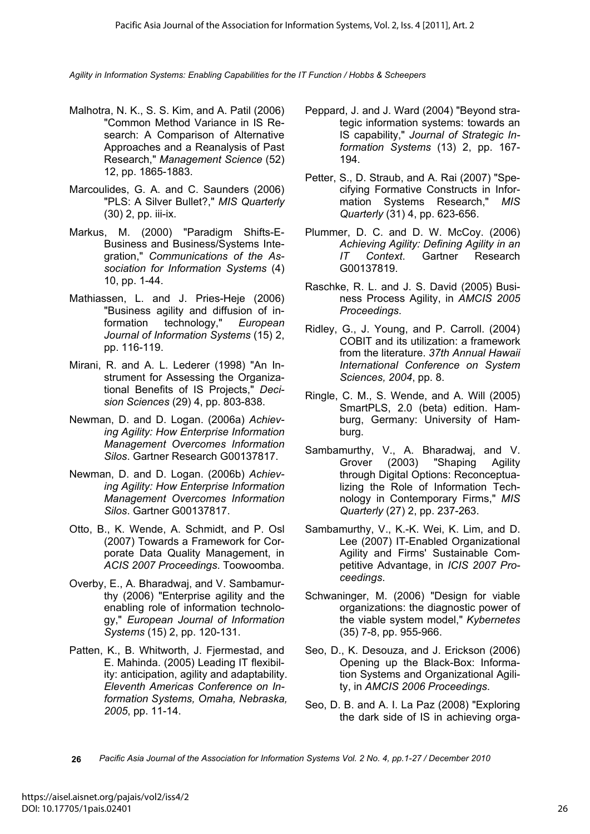- Malhotra, N. K., S. S. Kim, and A. Patil (2006) "Common Method Variance in IS Research: A Comparison of Alternative Approaches and a Reanalysis of Past Research," *Management Science* (52) 12, pp. 1865-1883.
- Marcoulides, G. A. and C. Saunders (2006) "PLS: A Silver Bullet?," *MIS Quarterly* (30) 2, pp. iii-ix.
- Markus, M. (2000) "Paradigm Shifts-E-Business and Business/Systems Integration," *Communications of the Association for Information Systems* (4) 10, pp. 1-44.
- Mathiassen, L. and J. Pries-Heje (2006) "Business agility and diffusion of information technology," *European Journal of Information Systems* (15) 2, pp. 116-119.
- Mirani, R. and A. L. Lederer (1998) "An Instrument for Assessing the Organizational Benefits of IS Projects," *Decision Sciences* (29) 4, pp. 803-838.
- Newman, D. and D. Logan. (2006a) *Achieving Agility: How Enterprise Information Management Overcomes Information Silos*. Gartner Research G00137817.
- Newman, D. and D. Logan. (2006b) *Achieving Agility: How Enterprise Information Management Overcomes Information Silos*. Gartner G00137817.
- Otto, B., K. Wende, A. Schmidt, and P. Osl (2007) Towards a Framework for Corporate Data Quality Management, in *ACIS 2007 Proceedings*. Toowoomba.
- Overby, E., A. Bharadwaj, and V. Sambamurthy (2006) "Enterprise agility and the enabling role of information technology," *European Journal of Information Systems* (15) 2, pp. 120-131.
- Patten, K., B. Whitworth, J. Fjermestad, and E. Mahinda. (2005) Leading IT flexibility: anticipation, agility and adaptability. *Eleventh Americas Conference on Information Systems, Omaha, Nebraska, 2005*, pp. 11-14.
- Peppard, J. and J. Ward (2004) "Beyond strategic information systems: towards an IS capability," *Journal of Strategic Information Systems* (13) 2, pp. 167- 194.
- Petter, S., D. Straub, and A. Rai (2007) "Specifying Formative Constructs in Information Systems Research," *MIS Quarterly* (31) 4, pp. 623-656.
- Plummer, D. C. and D. W. McCoy. (2006) *Achieving Agility: Defining Agility in an IT Context*. Gartner Research G00137819.
- Raschke, R. L. and J. S. David (2005) Business Process Agility, in *AMCIS 2005 Proceedings*.
- Ridley, G., J. Young, and P. Carroll. (2004) COBIT and its utilization: a framework from the literature. *37th Annual Hawaii International Conference on System Sciences, 2004*, pp. 8.
- Ringle, C. M., S. Wende, and A. Will (2005) SmartPLS, 2.0 (beta) edition. Hamburg, Germany: University of Hamburg.
- Sambamurthy, V., A. Bharadwaj, and V. Grover (2003) "Shaping Agility through Digital Options: Reconceptualizing the Role of Information Technology in Contemporary Firms," *MIS Quarterly* (27) 2, pp. 237-263.
- Sambamurthy, V., K.-K. Wei, K. Lim, and D. Lee (2007) IT-Enabled Organizational Agility and Firms' Sustainable Competitive Advantage, in *ICIS 2007 Proceedings*.
- Schwaninger, M. (2006) "Design for viable organizations: the diagnostic power of the viable system model," *Kybernetes* (35) 7-8, pp. 955-966.
- Seo, D., K. Desouza, and J. Erickson (2006) Opening up the Black-Box: Information Systems and Organizational Agility, in *AMCIS 2006 Proceedings*.
- Seo, D. B. and A. I. La Paz (2008) "Exploring the dark side of IS in achieving orga-